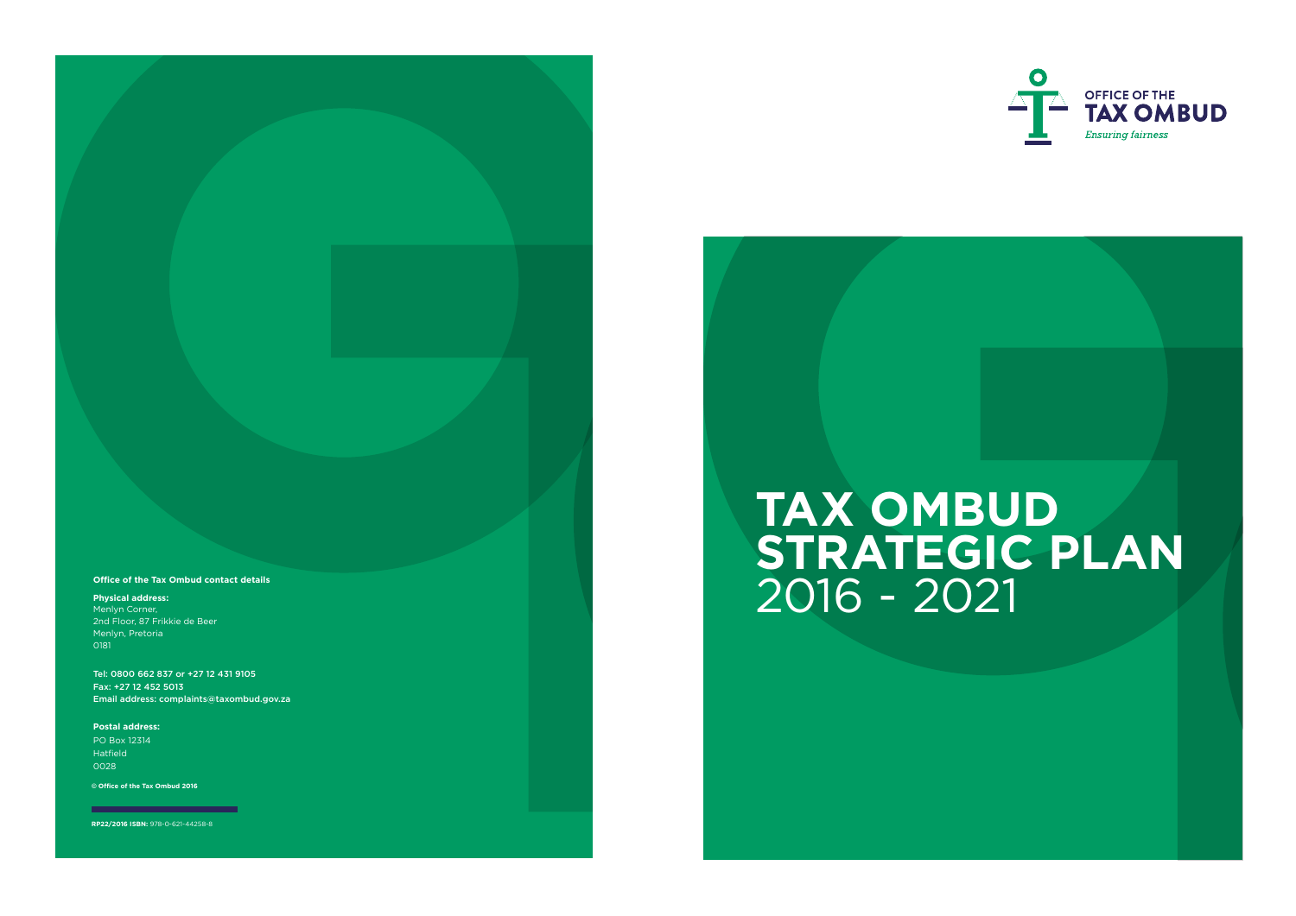# **TAX OMBUD STRATEGIC PLAN** 2016 - 2021



© **Office of the Tax Ombud 2016**

**RP22/2016 ISBN:** 978-0-621-44258-8

#### **Office of the Tax Ombud contact details**

**Physical address:**  Menlyn Corner, 2nd Floor, 87 Frikkie de Beer Menlyn, Pretoria 0181

Tel: 0800 662 837 or +27 12 431 9105 Fax: +27 12 452 5013 Email address: complaints@taxombud.gov.za

**Postal address:**  PO Box 12314 Hatfield 0028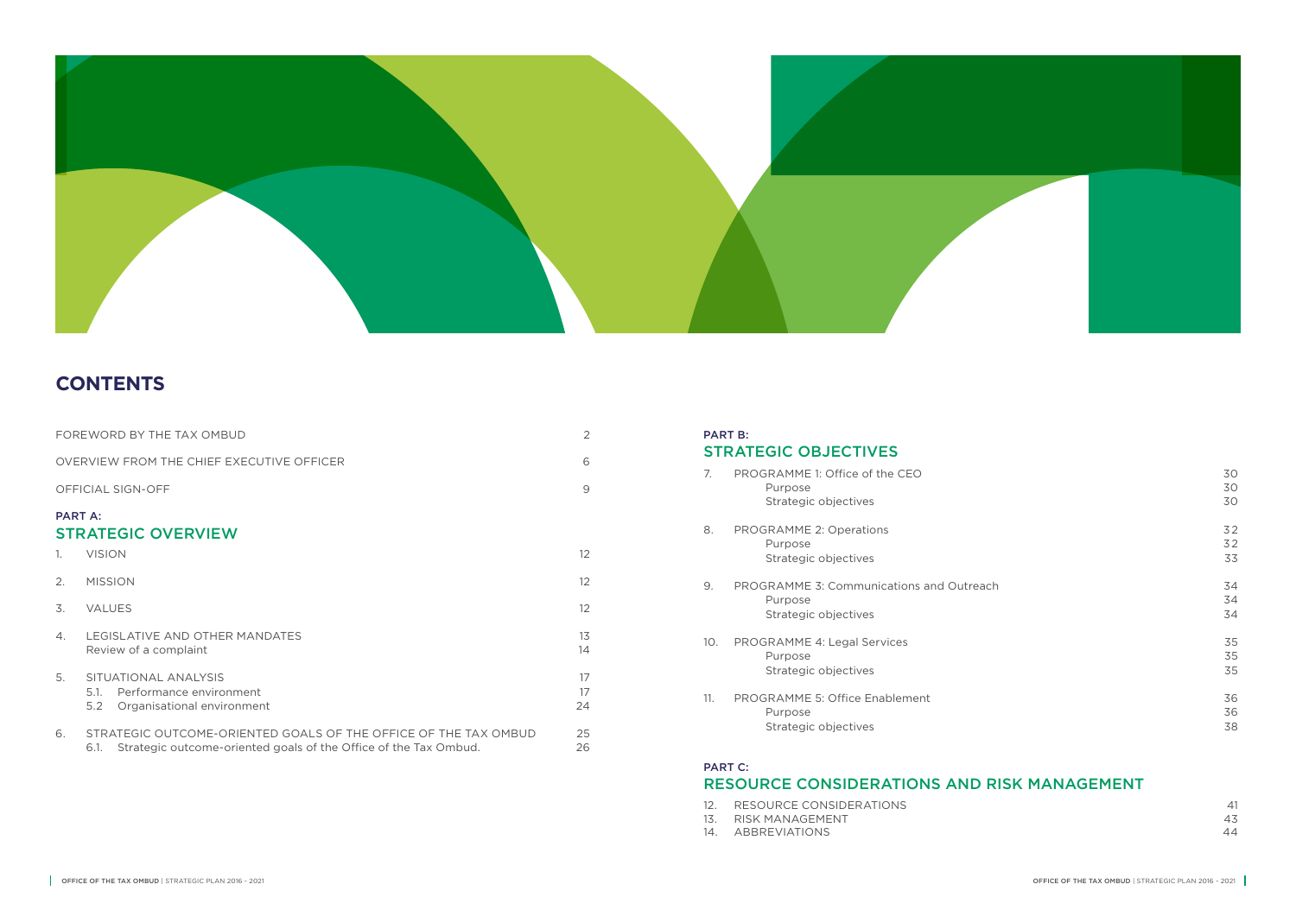|                | FOREWORD BY THE TAX OMBUD                                                                                                                   | $\overline{2}$    |
|----------------|---------------------------------------------------------------------------------------------------------------------------------------------|-------------------|
|                | OVERVIEW FROM THE CHIFF EXECUTIVE OFFICER                                                                                                   | 6                 |
|                | OFFICIAL SIGN-OFF                                                                                                                           | 9                 |
| <b>PART A:</b> | <b>STRATEGIC OVERVIEW</b>                                                                                                                   |                   |
| $\mathbb{1}$ . | <b>VISION</b>                                                                                                                               | $12 \overline{ }$ |
| 2.             | <b>MISSION</b>                                                                                                                              | $12 \overline{ }$ |
| 3.             | <b>VALUES</b>                                                                                                                               | 12                |
| 4.             | LEGISLATIVE AND OTHER MANDATES<br>Review of a complaint                                                                                     | 13<br>14          |
| 5 <sub>1</sub> | SITUATIONAL ANALYSIS<br>Performance environment<br>5.1<br>5.2<br>Organisational environment                                                 | 17<br>17<br>24    |
| 6.             | STRATEGIC OUTCOME-ORIENTED GOALS OF THE OFFICE OF THE TAX OMBUD<br>Strategic outcome-oriented goals of the Office of the Tax Ombud.<br>6.1. | 25<br>26          |

| 7.  | PROGRAMME 1: Office of the CEO<br>Purpose<br>Strategic objectives           | 30<br>30<br>30 |
|-----|-----------------------------------------------------------------------------|----------------|
| 8.  | PROGRAMME 2: Operations<br>Purpose<br>Strategic objectives                  | 32<br>32<br>33 |
| 9.  | PROGRAMME 3: Communications and Outreach<br>Purpose<br>Strategic objectives | 34<br>34<br>34 |
| 10. | PROGRAMME 4: Legal Services<br>Purpose<br>Strategic objectives              | 35<br>35<br>35 |
| 11. | PROGRAMME 5: Office Enablement<br>Purpose<br>Strategic objectives           | 36<br>36<br>38 |

### PART C: RESOURCE CONSIDERATIONS AND RISK MANAGEMENT

- 12. RESOURCE CONSIDERATIONS
- 13. RISK MANAGEMENT
- 14. ABBREVIATIONS

| 41 |
|----|
| 43 |
| 44 |



### **CONTENTS**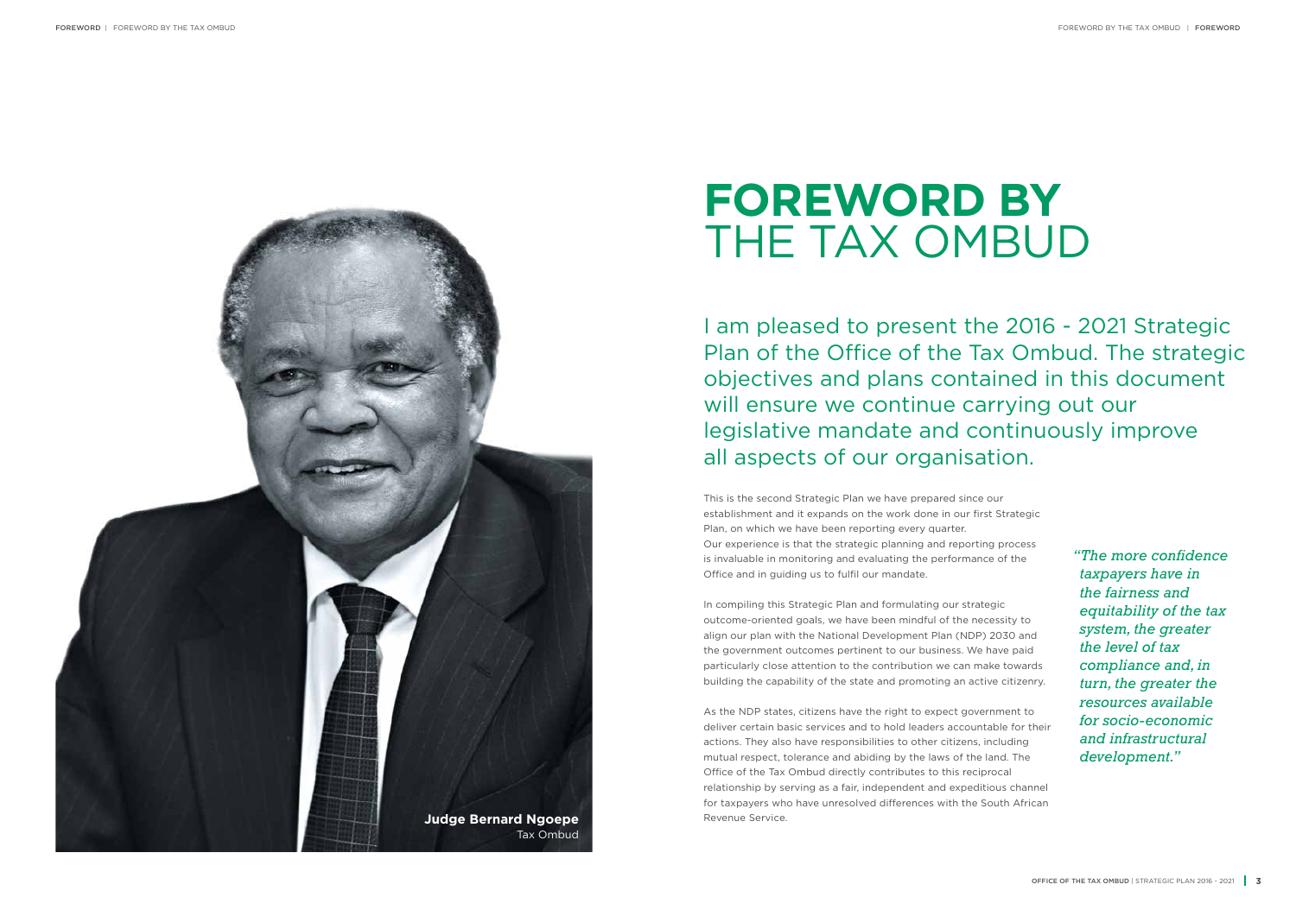This is the second Strategic Plan we have prepared since our establishment and it expands on the work done in our first Strategic Plan, on which we have been reporting every quarter. Our experience is that the strategic planning and reporting process is invaluable in monitoring and evaluating the performance of the Office and in guiding us to fulfil our mandate.

In compiling this Strategic Plan and formulating our strategic outcome-oriented goals, we have been mindful of the necessity to align our plan with the National Development Plan (NDP) 2030 and the government outcomes pertinent to our business. We have paid particularly close attention to the contribution we can make towards building the capability of the state and promoting an active citizenry.

As the NDP states, citizens have the right to expect government to deliver certain basic services and to hold leaders accountable for their actions. They also have responsibilities to other citizens, including mutual respect, tolerance and abiding by the laws of the land. The Office of the Tax Ombud directly contributes to this reciprocal relationship by serving as a fair, independent and expeditious channel for taxpayers who have unresolved differences with the South African



*"The more confidence taxpayers have in the fairness and equitability of the tax system, the greater the level of tax compliance and, in turn, the greater the resources available for socio-economic and infrastructural development."* 

## **FOREWORD BY**  THE TAX OMBUD

I am pleased to present the 2016 - 2021 Strategic Plan of the Office of the Tax Ombud. The strategic objectives and plans contained in this document will ensure we continue carrying out our legislative mandate and continuously improve all aspects of our organisation.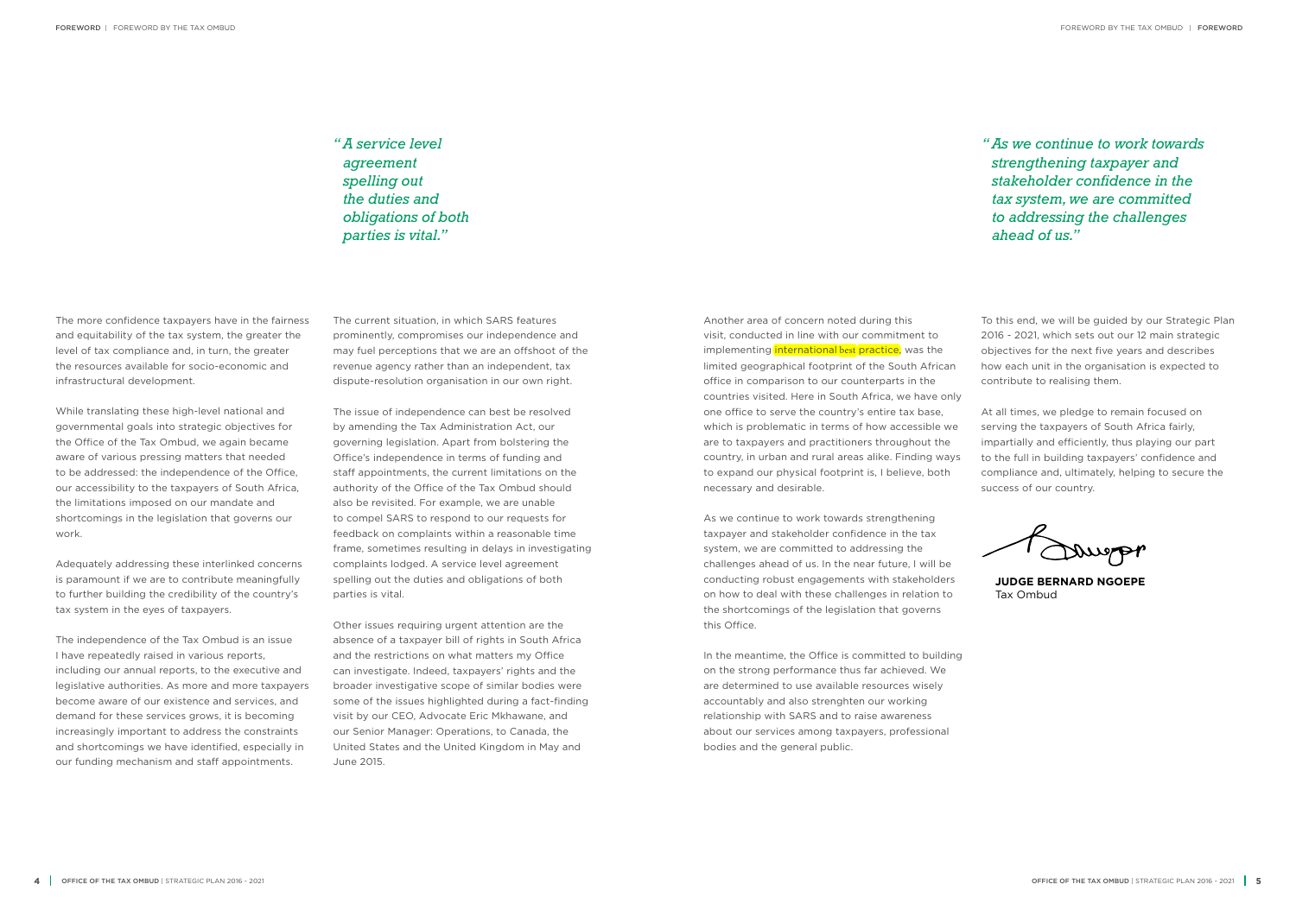The more confidence taxpayers have in the fairness and equitability of the tax system, the greater the level of tax compliance and, in turn, the greater the resources available for socio-economic and infrastructural development.

While translating these high-level national and governmental goals into strategic objectives for the Office of the Tax Ombud, we again became aware of various pressing matters that needed to be addressed: the independence of the Office, our accessibility to the taxpayers of South Africa, the limitations imposed on our mandate and shortcomings in the legislation that governs our work.

Adequately addressing these interlinked concerns is paramount if we are to contribute meaningfully to further building the credibility of the country's tax system in the eyes of taxpayers.

The independence of the Tax Ombud is an issue I have repeatedly raised in various reports, including our annual reports, to the executive and legislative authorities. As more and more taxpayers become aware of our existence and services, and demand for these services grows, it is becoming increasingly important to address the constraints and shortcomings we have identified, especially in our funding mechanism and staff appointments.

The current situation, in which SARS features prominently, compromises our independence and may fuel perceptions that we are an offshoot of the revenue agency rather than an independent, tax dispute-resolution organisation in our own right.

The issue of independence can best be resolved by amending the Tax Administration Act, our governing legislation. Apart from bolstering the Office's independence in terms of funding and staff appointments, the current limitations on the authority of the Office of the Tax Ombud should also be revisited. For example, we are unable to compel SARS to respond to our requests for feedback on complaints within a reasonable time frame, sometimes resulting in delays in investigating complaints lodged. A service level agreement spelling out the duties and obligations of both parties is vital.

Other issues requiring urgent attention are the absence of a taxpayer bill of rights in South Africa and the restrictions on what matters my Office can investigate. Indeed, taxpayers' rights and the broader investigative scope of similar bodies were some of the issues highlighted during a fact-finding visit by our CEO, Advocate Eric Mkhawane, and our Senior Manager: Operations, to Canada, the United States and the United Kingdom in May and June 2015.

Another area of concern noted during this visit, conducted in line with our commitment to implementing international best practice, was the limited geographical footprint of the South African office in comparison to our counterparts in the countries visited. Here in South Africa, we have only one office to serve the country's entire tax base, which is problematic in terms of how accessible we are to taxpayers and practitioners throughout the country, in urban and rural areas alike. Finding ways to expand our physical footprint is, I believe, both necessary and desirable.

As we continue to work towards strengthening taxpayer and stakeholder confidence in the tax system, we are committed to addressing the challenges ahead of us. In the near future, I will be conducting robust engagements with stakeholders on how to deal with these challenges in relation to the shortcomings of the legislation that governs this Office.

In the meantime, the Office is committed to building on the strong performance thus far achieved. We are determined to use available resources wisely accountably and also strenghten our working relationship with SARS and to raise awareness about our services among taxpayers, professional bodies and the general public.

To this end, we will be guided by our Strategic Plan 2016 - 2021, which sets out our 12 main strategic objectives for the next five years and describes how each unit in the organisation is expected to contribute to realising them.

At all times, we pledge to remain focused on serving the taxpayers of South Africa fairly, impartially and efficiently, thus playing our part to the full in building taxpayers' confidence and compliance and, ultimately, helping to secure the success of our country.

Daugpp

*"A service level agreement spelling out the duties and obligations of both parties is vital."* 

*"As we continue to work towards strengthening taxpayer and stakeholder confidence in the tax system, we are committed to addressing the challenges ahead of us."* 

**JUDGE BERNARD NGOEPE** Tax Ombud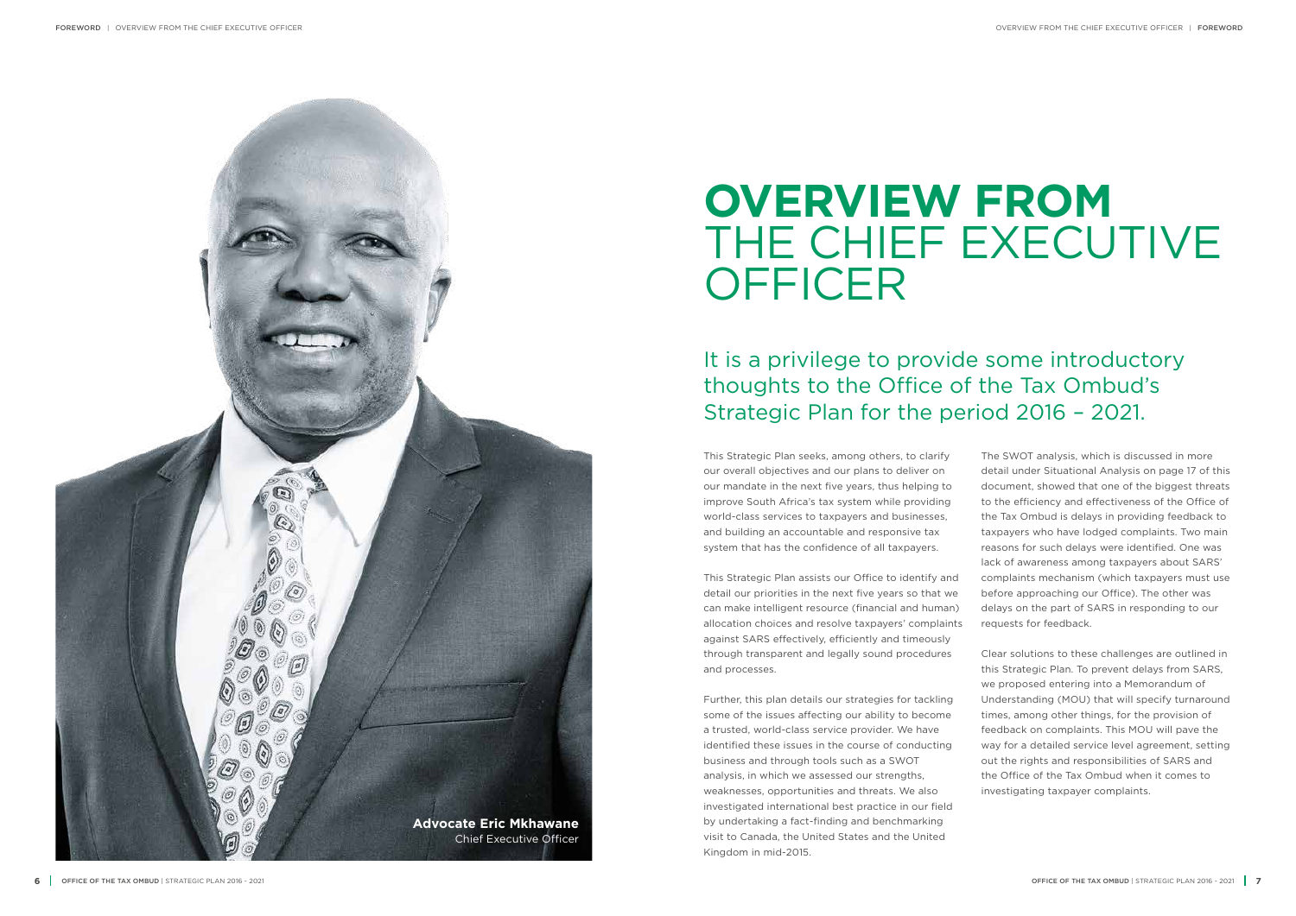This Strategic Plan seeks, among others, to clarify our overall objectives and our plans to deliver on our mandate in the next five years, thus helping to improve South Africa's tax system while providing world-class services to taxpayers and businesses, and building an accountable and responsive tax system that has the confidence of all taxpayers.

This Strategic Plan assists our Office to identify and detail our priorities in the next five years so that we can make intelligent resource (financial and human) allocation choices and resolve taxpayers' complaints against SARS effectively, efficiently and timeously through transparent and legally sound procedures and processes.

## **OVERVIEW FROM**  THE CHIEF EXECUTIVE **OFFICER**

Further, this plan details our strategies for tackling some of the issues affecting our ability to become a trusted, world-class service provider. We have identified these issues in the course of conducting business and through tools such as a SWOT analysis, in which we assessed our strengths, weaknesses, opportunities and threats. We also investigated international best practice in our field by undertaking a fact-finding and benchmarking visit to Canada, the United States and the United Kingdom in mid-2015.



It is a privilege to provide some introductory thoughts to the Office of the Tax Ombud's Strategic Plan for the period 2016 – 2021.

The SWOT analysis, which is discussed in more detail under Situational Analysis on page 17 of this document, showed that one of the biggest threats to the efficiency and effectiveness of the Office of the Tax Ombud is delays in providing feedback to taxpayers who have lodged complaints. Two main reasons for such delays were identified. One was lack of awareness among taxpayers about SARS' complaints mechanism (which taxpayers must use before approaching our Office). The other was delays on the part of SARS in responding to our requests for feedback.

Clear solutions to these challenges are outlined in this Strategic Plan. To prevent delays from SARS, we proposed entering into a Memorandum of Understanding (MOU) that will specify turnaround times, among other things, for the provision of feedback on complaints. This MOU will pave the way for a detailed service level agreement, setting out the rights and responsibilities of SARS and the Office of the Tax Ombud when it comes to investigating taxpayer complaints.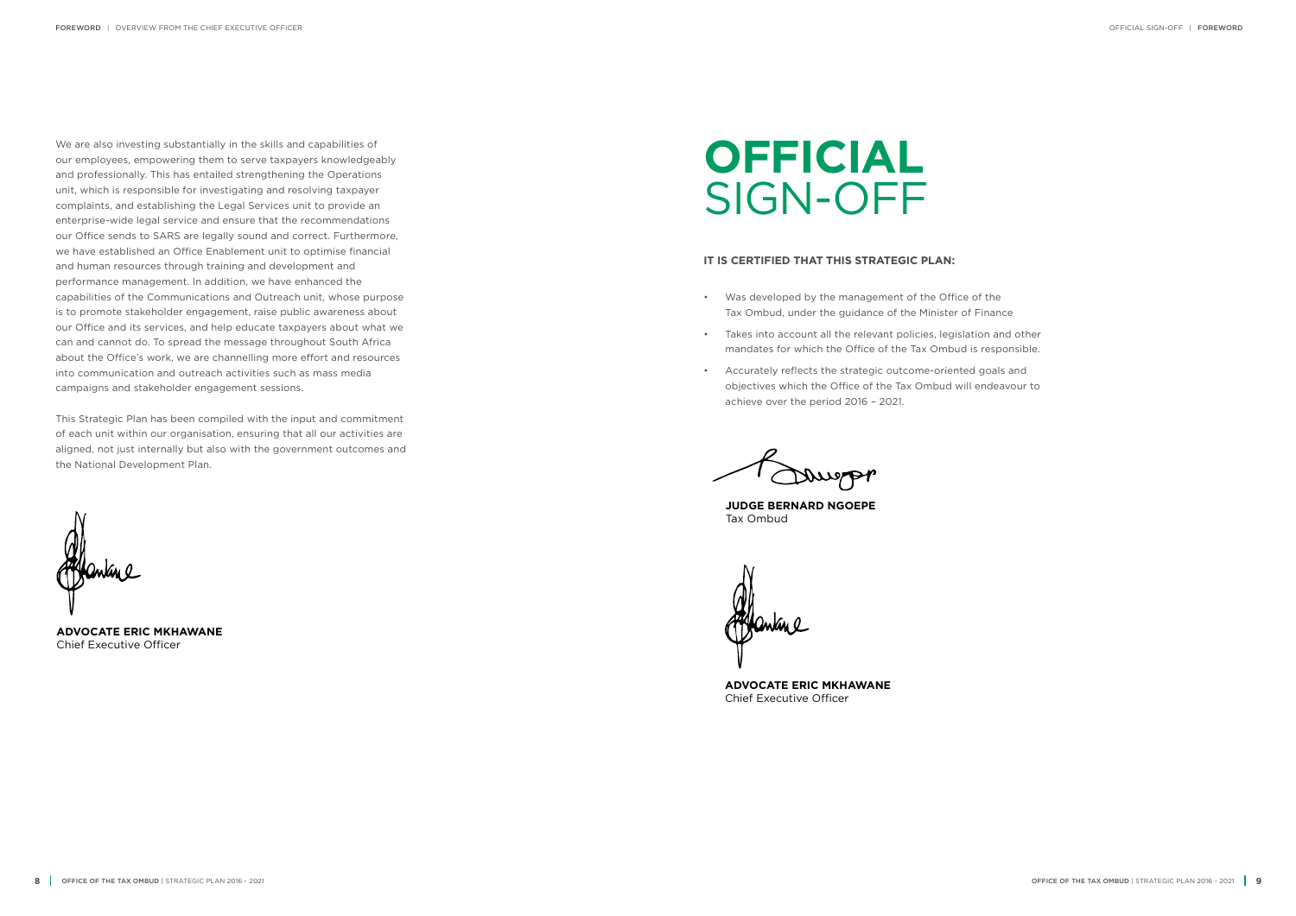**JUDGE BERNARD NGOEPE** Tax Ombud

**ADVOCATE ERIC MKHAWANE** Chief Executive Officer

**ADVOCATE ERIC MKHAWANE** Chief Executive Officer

## **OFFICIAL** SIGN-OFF

#### **IT IS CERTIFIED THAT THIS STRATEGIC PLAN:**

- Was developed by the management of the Office of the Tax Ombud, under the guidance of the Minister of Finance
- Takes into account all the relevant policies, legislation and other mandates for which the Office of the Tax Ombud is responsible.
- Accurately reflects the strategic outcome-oriented goals and objectives which the Office of the Tax Ombud will endeavour to achieve over the period 2016 – 2021.

Daugpp

We are also investing substantially in the skills and capabilities of our employees, empowering them to serve taxpayers knowledgeably and professionally. This has entailed strengthening the Operations unit, which is responsible for investigating and resolving taxpayer complaints, and establishing the Legal Services unit to provide an enterprise-wide legal service and ensure that the recommendations our Office sends to SARS are legally sound and correct. Furthermore, we have established an Office Enablement unit to optimise financial and human resources through training and development and performance management. In addition, we have enhanced the capabilities of the Communications and Outreach unit, whose purpose is to promote stakeholder engagement, raise public awareness about our Office and its services, and help educate taxpayers about what we can and cannot do. To spread the message throughout South Africa about the Office's work, we are channelling more effort and resources into communication and outreach activities such as mass media campaigns and stakeholder engagement sessions.

This Strategic Plan has been compiled with the input and commitment of each unit within our organisation, ensuring that all our activities are aligned, not just internally but also with the government outcomes and the National Development Plan.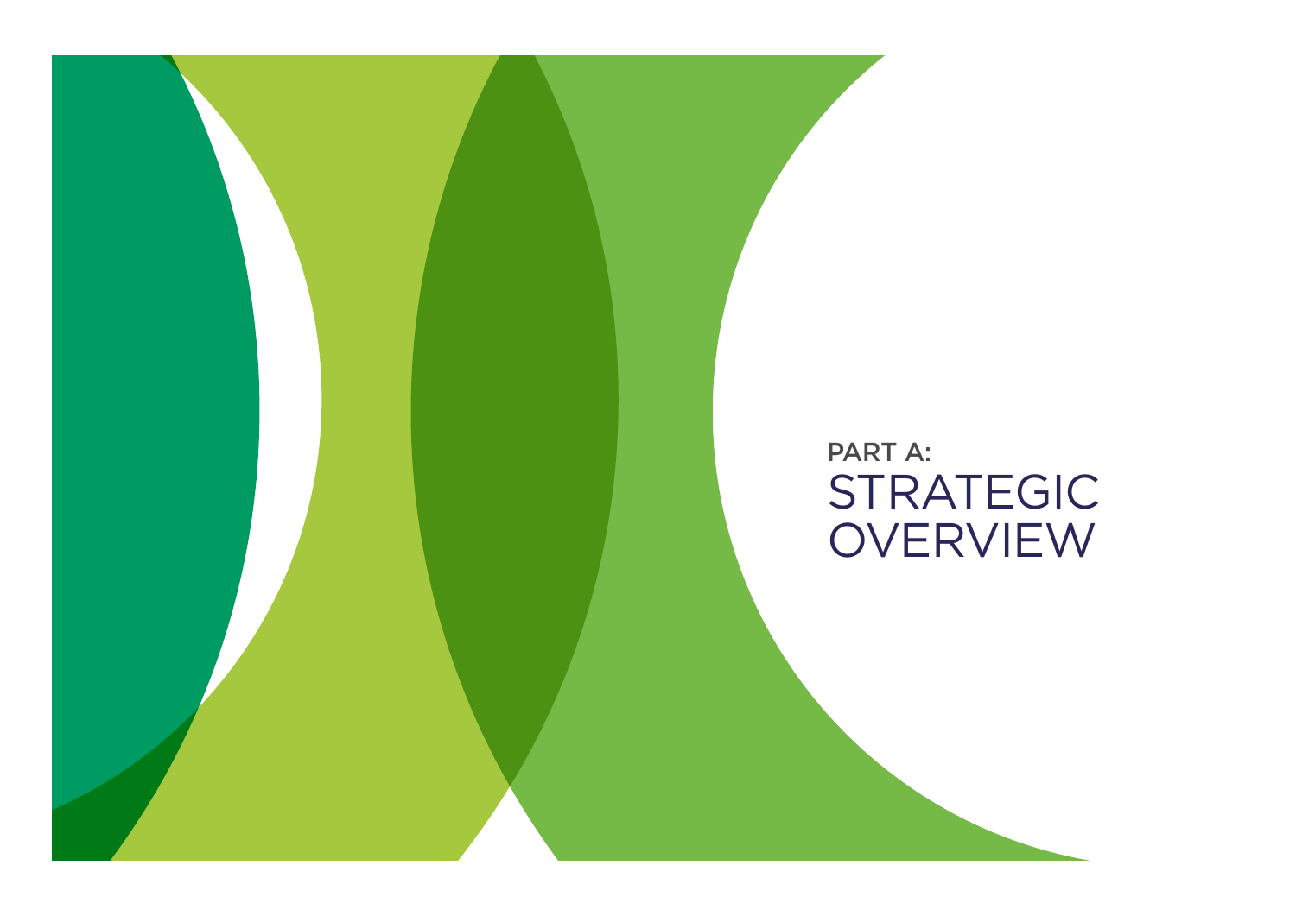STRATEGIC OVERVIEW PART A:

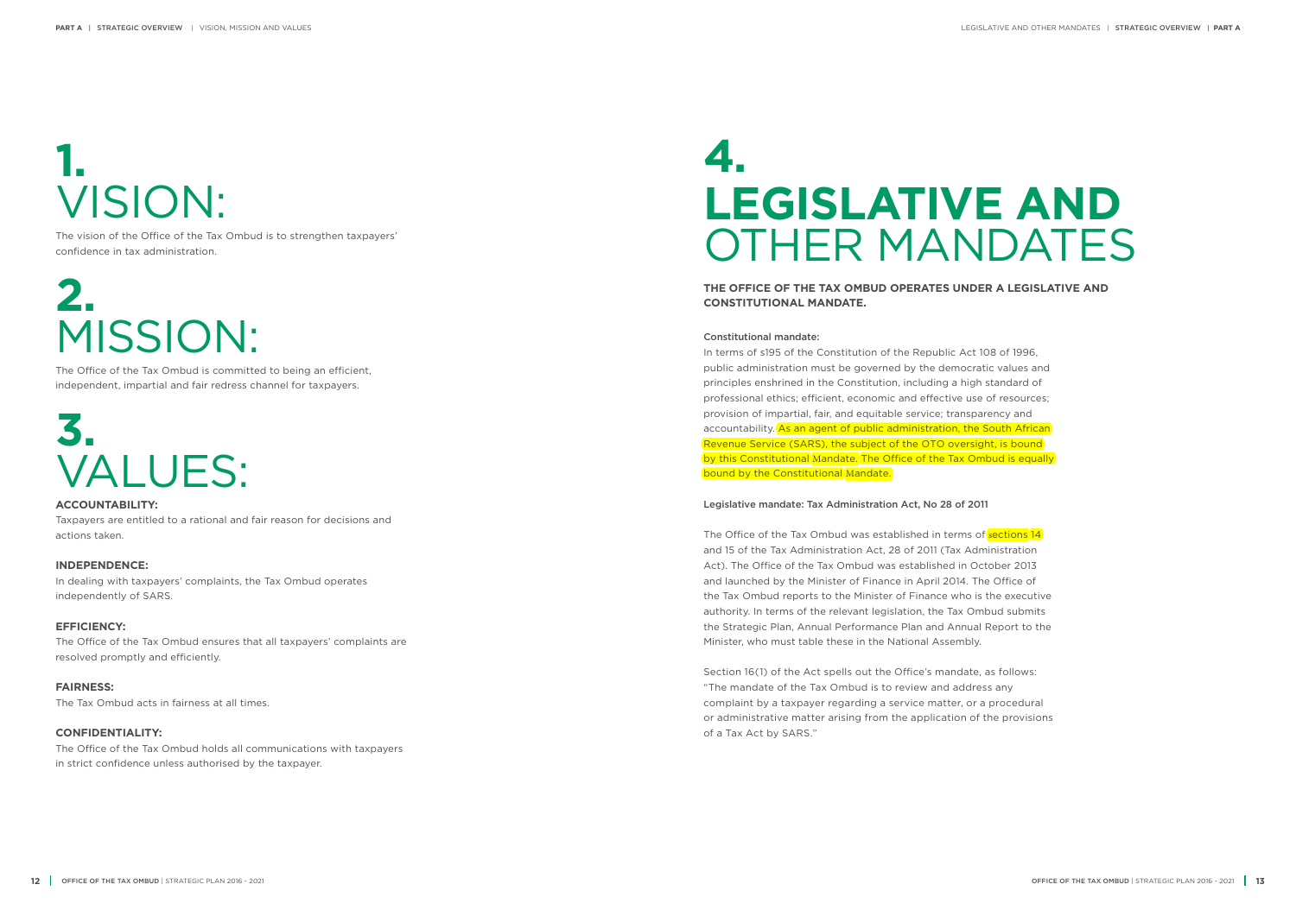# **1.** VISION:

The vision of the Office of the Tax Ombud is to strengthen taxpayers' confidence in tax administration.

# **2.** MISSION:

The Office of the Tax Ombud is committed to being an efficient, independent, impartial and fair redress channel for taxpayers.

## **3.** VALUES:

**ACCOUNTABILITY:** Taxpayers are entitled to a rational and fair reason for decisions and actions taken.

### **INDEPENDENCE:**

In terms of s195 of the Constitution of the Republic Act 108 of 1996, public administration must be governed by the democratic values and principles enshrined in the Constitution, including a high standard of professional ethics; efficient, economic and effective use of resources; provision of impartial, fair, and equitable service; transparency and accountability. As an agent of public administration, the South African Revenue Service (SARS), the subject of the OTO oversight, is bound by this Constitutional Mandate. The Office of the Tax Ombud is equally bound by the Constitutional Mandate.

In dealing with taxpayers' complaints, the Tax Ombud operates independently of SARS.

### **EFFICIENCY:**

The Office of the Tax Ombud ensures that all taxpayers' complaints are resolved promptly and efficiently.

**FAIRNESS:** The Tax Ombud acts in fairness at all times.

### **CONFIDENTIALITY:**

The Office of the Tax Ombud holds all communications with taxpayers in strict confidence unless authorised by the taxpayer.

## **4. LEGISLATIVE AND** OTHER MANDATES

**THE OFFICE OF THE TAX OMBUD OPERATES UNDER A LEGISLATIVE AND CONSTITUTIONAL MANDATE.**

#### Constitutional mandate:

The Office of the Tax Ombud was established in terms of sections 14 and 15 of the Tax Administration Act, 28 of 2011 (Tax Administration Act). The Office of the Tax Ombud was established in October 2013 and launched by the Minister of Finance in April 2014. The Office of the Tax Ombud reports to the Minister of Finance who is the executive authority. In terms of the relevant legislation, the Tax Ombud submits the Strategic Plan, Annual Performance Plan and Annual Report to the Minister, who must table these in the National Assembly.

### Legislative mandate: Tax Administration Act, No 28 of 2011

Section 16(1) of the Act spells out the Office's mandate, as follows: "The mandate of the Tax Ombud is to review and address any complaint by a taxpayer regarding a service matter, or a procedural or administrative matter arising from the application of the provisions of a Tax Act by SARS."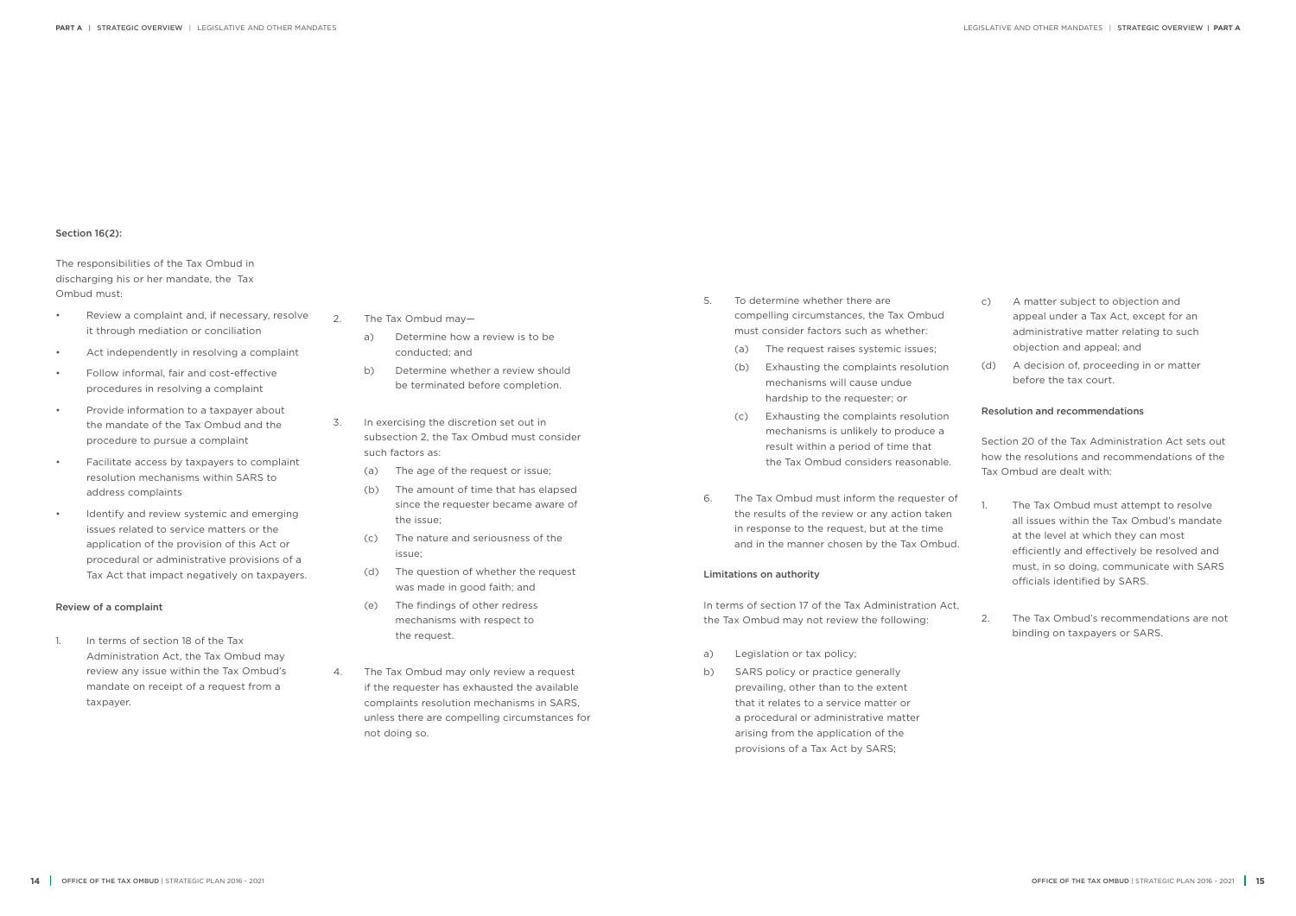#### Section 16(2):

The responsibilities of the Tax Ombud in discharging his or her mandate, the Tax Ombud must:

- Review a complaint and, if necessary, resolve it through mediation or conciliation
- Act independently in resolving a complaint
- Follow informal, fair and cost-effective procedures in resolving a complaint
- Provide information to a taxpayer about the mandate of the Tax Ombud and the procedure to pursue a complaint
- Facilitate access by taxpayers to complaint resolution mechanisms within SARS to address complaints
- Identify and review systemic and emerging issues related to service matters or the application of the provision of this Act or procedural or administrative provisions of a Tax Act that impact negatively on taxpayers.

#### Review of a complaint

1. In terms of section 18 of the Tax Administration Act, the Tax Ombud may review any issue within the Tax Ombud's mandate on receipt of a request from a taxpayer.

- 2. The Tax Ombud may
	- a) Determine how a review is to be conducted; and
	- b) Determine whether a review should be terminated before completion.
- 3. In exercising the discretion set out in subsection 2, the Tax Ombud must consider such factors as:
	- (a) The age of the request or issue;
	- (b) The amount of time that has elapsed since the requester became aware of the issue;
	- (c) The nature and seriousness of the issue;
	- (d) The question of whether the request was made in good faith; and
	- (e) The findings of other redress mechanisms with respect to the request.
- 4. The Tax Ombud may only review a request if the requester has exhausted the available complaints resolution mechanisms in SARS, unless there are compelling circumstances for not doing so.
- The Tax Ombud must attempt to resolve all issues within the Tax Ombud's mandate at the level at which they can most efficiently and effectively be resolved and must, in so doing, communicate with SARS officials identified by SARS.
- 2. The Tax Ombud's recommendations are not binding on taxpayers or SARS.
- 5. To determine whether there are compelling circumstances, the Tax Ombud must consider factors such as whether:
	- (a) The request raises systemic issues;
	- (b) Exhausting the complaints resolution mechanisms will cause undue hardship to the requester; or
	- (c) Exhausting the complaints resolution mechanisms is unlikely to produce a result within a period of time that the Tax Ombud considers reasonable.
- 6. The Tax Ombud must inform the requester of the results of the review or any action taken in response to the request, but at the time and in the manner chosen by the Tax Ombud.

#### Limitations on authority

In terms of section 17 of the Tax Administration Act, the Tax Ombud may not review the following:

- a) Legislation or tax policy;
- b) SARS policy or practice generally prevailing, other than to the extent that it relates to a service matter or a procedural or administrative matter arising from the application of the provisions of a Tax Act by SARS;
- c) A matter subject to objection and appeal under a Tax Act, except for an administrative matter relating to such objection and appeal; and
- (d) A decision of, proceeding in or matter before the tax court.

#### Resolution and recommendations

Section 20 of the Tax Administration Act sets out how the resolutions and recommendations of the Tax Ombud are dealt with: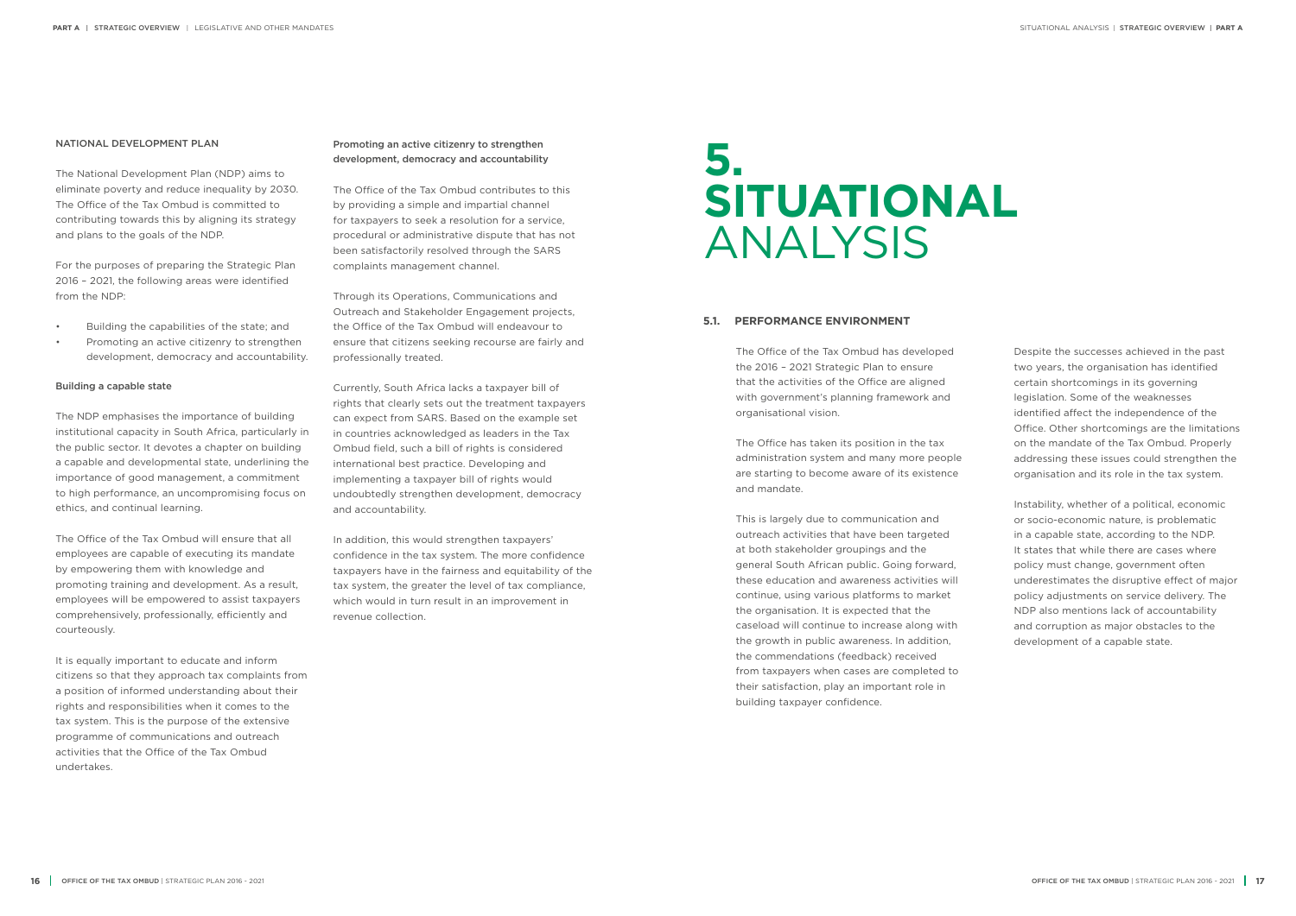#### **5.1. PERFORMANCE ENVIRONMENT**

The Office of the Tax Ombud has developed the 2016 – 2021 Strategic Plan to ensure that the activities of the Office are aligned with government's planning framework and organisational vision.

The Office has taken its position in the tax administration system and many more people are starting to become aware of its existence and mandate.

This is largely due to communication and outreach activities that have been targeted at both stakeholder groupings and the general South African public. Going forward, these education and awareness activities will continue, using various platforms to market the organisation. It is expected that the caseload will continue to increase along with the growth in public awareness. In addition, the commendations (feedback) received from taxpayers when cases are completed to their satisfaction, play an important role in building taxpayer confidence.

## **5. SITUATIONAL** ANALYSIS

Despite the successes achieved in the past two years, the organisation has identified certain shortcomings in its governing legislation. Some of the weaknesses identified affect the independence of the Office. Other shortcomings are the limitations on the mandate of the Tax Ombud. Properly addressing these issues could strengthen the organisation and its role in the tax system.

Instability, whether of a political, economic or socio-economic nature, is problematic in a capable state, according to the NDP. It states that while there are cases where policy must change, government often underestimates the disruptive effect of major policy adjustments on service delivery. The NDP also mentions lack of accountability and corruption as major obstacles to the development of a capable state.

#### NATIONAL DEVELOPMENT PLAN

The National Development Plan (NDP) aims to eliminate poverty and reduce inequality by 2030. The Office of the Tax Ombud is committed to contributing towards this by aligning its strategy and plans to the goals of the NDP.

For the purposes of preparing the Strategic Plan 2016 – 2021, the following areas were identified from the NDP:

- Building the capabilities of the state; and
- Promoting an active citizenry to strengthen development, democracy and accountability.

#### Building a capable state

The NDP emphasises the importance of building institutional capacity in South Africa, particularly in the public sector. It devotes a chapter on building a capable and developmental state, underlining the importance of good management, a commitment to high performance, an uncompromising focus on ethics, and continual learning.

The Office of the Tax Ombud will ensure that all employees are capable of executing its mandate by empowering them with knowledge and promoting training and development. As a result, employees will be empowered to assist taxpayers comprehensively, professionally, efficiently and courteously.

It is equally important to educate and inform citizens so that they approach tax complaints from a position of informed understanding about their rights and responsibilities when it comes to the tax system. This is the purpose of the extensive programme of communications and outreach activities that the Office of the Tax Ombud undertakes.

#### Promoting an active citizenry to strengthen development, democracy and accountability

The Office of the Tax Ombud contributes to this by providing a simple and impartial channel for taxpayers to seek a resolution for a service, procedural or administrative dispute that has not been satisfactorily resolved through the SARS complaints management channel.

Through its Operations, Communications and Outreach and Stakeholder Engagement projects, the Office of the Tax Ombud will endeavour to ensure that citizens seeking recourse are fairly and professionally treated.

Currently, South Africa lacks a taxpayer bill of rights that clearly sets out the treatment taxpayers can expect from SARS. Based on the example set in countries acknowledged as leaders in the Tax Ombud field, such a bill of rights is considered international best practice. Developing and implementing a taxpayer bill of rights would undoubtedly strengthen development, democracy and accountability.

In addition, this would strengthen taxpayers' confidence in the tax system. The more confidence taxpayers have in the fairness and equitability of the tax system, the greater the level of tax compliance, which would in turn result in an improvement in revenue collection.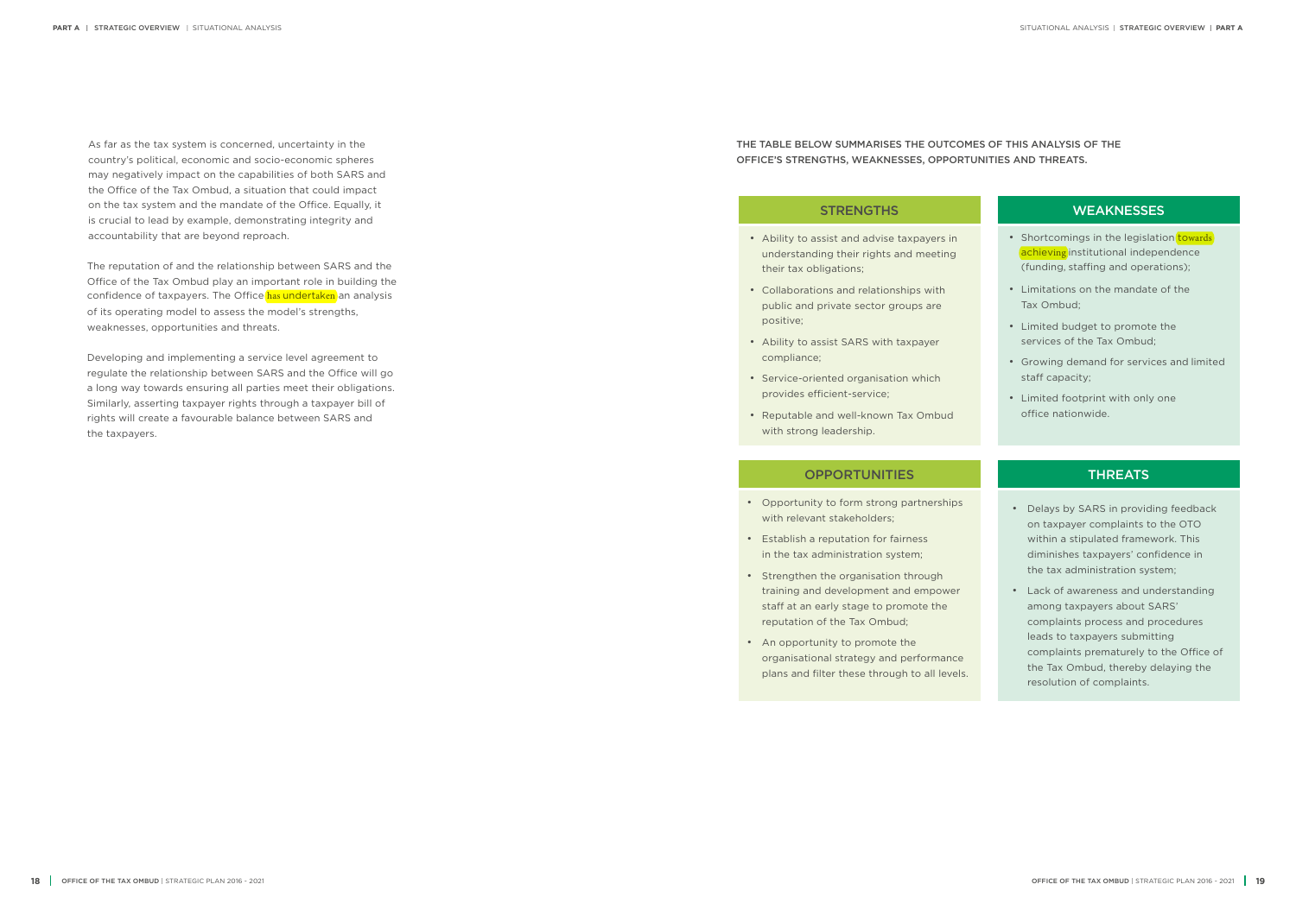- Ability to assist and advise taxpayers in understanding their rights and meeting their tax obligations;
- Collaborations and relationships with public and private sector groups are positive;
- Ability to assist SARS with taxpayer compliance;
- Service-oriented organisation which provides efficient-service;
- Reputable and well-known Tax Ombud with strong leadership.

### OPPORTUNITIES **THREATS**

### STRENGTHS WEAKNESSES • Shortcomings in the legislation towards achieving institutional independence (funding, staffing and operations); • Limitations on the mandate of the Tax Ombud; • Limited budget to promote the services of the Tax Ombud; • Growing demand for services and limited staff capacity; • Limited footprint with only one

office nationwide.

- Opportunity to form strong partnerships with relevant stakeholders;
- Establish a reputation for fairness in the tax administration system;
- Strengthen the organisation through training and development and empower staff at an early stage to promote the reputation of the Tax Ombud;
- An opportunity to promote the organisational strategy and performance plans and filter these through to all levels.
- Delays by SARS in providing feedback on taxpayer complaints to the OTO within a stipulated framework. This diminishes taxpayers' confidence in the tax administration system;
- Lack of awareness and understanding among taxpayers about SARS' complaints process and procedures leads to taxpayers submitting complaints prematurely to the Office of the Tax Ombud, thereby delaying the resolution of complaints.

### THE TABLE BELOW SUMMARISES THE OUTCOMES OF THIS ANALYSIS OF THE OFFICE'S STRENGTHS, WEAKNESSES, OPPORTUNITIES AND THREATS.

As far as the tax system is concerned, uncertainty in the country's political, economic and socio-economic spheres may negatively impact on the capabilities of both SARS and the Office of the Tax Ombud, a situation that could impact on the tax system and the mandate of the Office. Equally, it is crucial to lead by example, demonstrating integrity and accountability that are beyond reproach.

The reputation of and the relationship between SARS and the Office of the Tax Ombud play an important role in building the confidence of taxpayers. The Office has undertaken an analysis of its operating model to assess the model's strengths, weaknesses, opportunities and threats.

Developing and implementing a service level agreement to regulate the relationship between SARS and the Office will go a long way towards ensuring all parties meet their obligations. Similarly, asserting taxpayer rights through a taxpayer bill of rights will create a favourable balance between SARS and the taxpayers.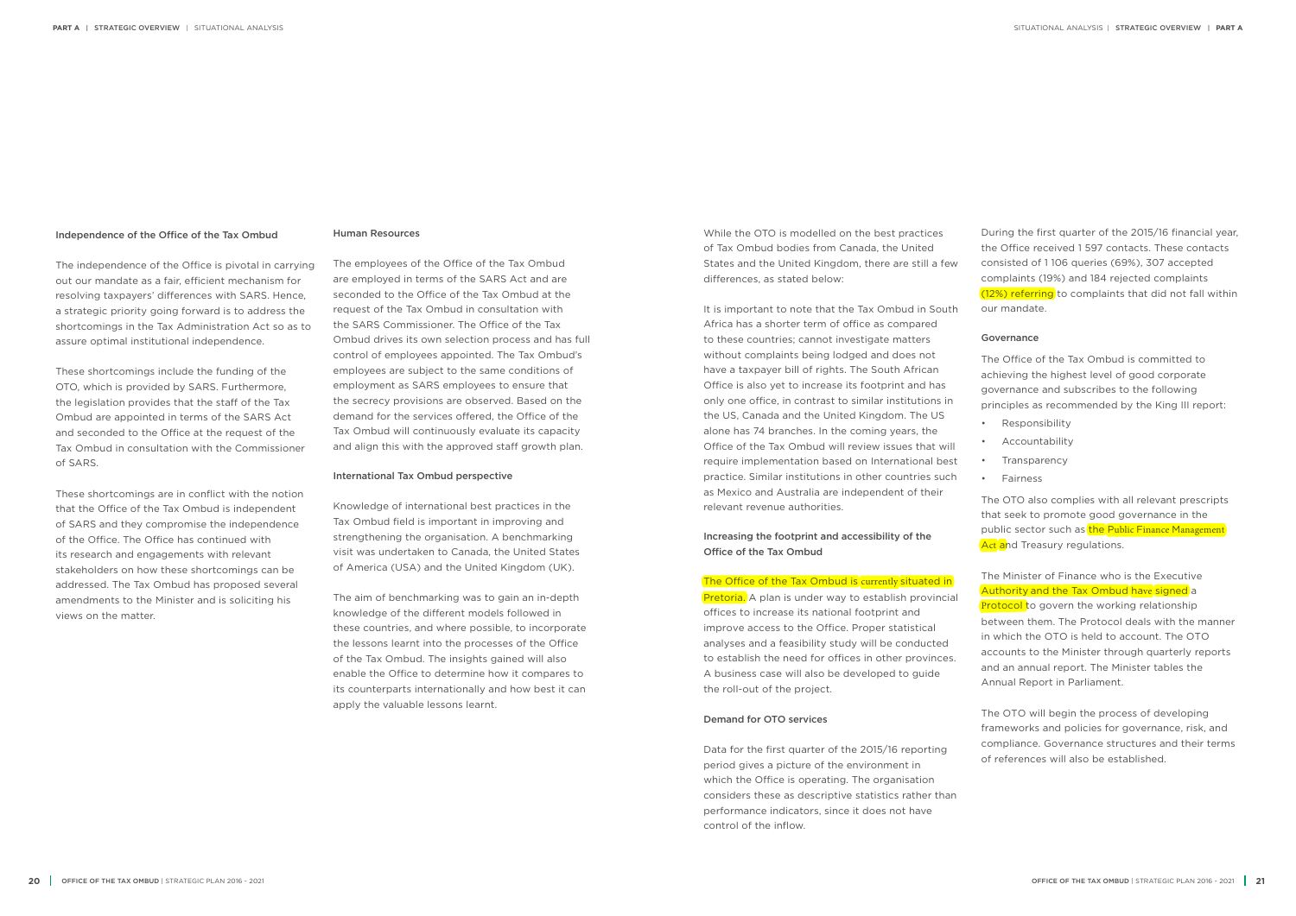#### Independence of the Office of the Tax Ombud

The independence of the Office is pivotal in carrying out our mandate as a fair, efficient mechanism for resolving taxpayers' differences with SARS. Hence, a strategic priority going forward is to address the shortcomings in the Tax Administration Act so as to assure optimal institutional independence.

These shortcomings include the funding of the OTO, which is provided by SARS. Furthermore, the legislation provides that the staff of the Tax Ombud are appointed in terms of the SARS Act and seconded to the Office at the request of the Tax Ombud in consultation with the Commissioner of SARS.

These shortcomings are in conflict with the notion that the Office of the Tax Ombud is independent of SARS and they compromise the independence of the Office. The Office has continued with its research and engagements with relevant stakeholders on how these shortcomings can be addressed. The Tax Ombud has proposed several amendments to the Minister and is soliciting his views on the matter.

#### Human Resources

The employees of the Office of the Tax Ombud are employed in terms of the SARS Act and are seconded to the Office of the Tax Ombud at the request of the Tax Ombud in consultation with the SARS Commissioner. The Office of the Tax Ombud drives its own selection process and has full control of employees appointed. The Tax Ombud's employees are subject to the same conditions of employment as SARS employees to ensure that the secrecy provisions are observed. Based on the demand for the services offered, the Office of the Tax Ombud will continuously evaluate its capacity and align this with the approved staff growth plan.

#### International Tax Ombud perspective

Pretoria. A plan is under way to establish provincial offices to increase its national footprint and improve access to the Office. Proper statistical analyses and a feasibility study will be conducted to establish the need for offices in other provinces. A business case will also be developed to guide the roll-out of the project.

Knowledge of international best practices in the Tax Ombud field is important in improving and strengthening the organisation. A benchmarking visit was undertaken to Canada, the United States of America (USA) and the United Kingdom (UK).

The aim of benchmarking was to gain an in-depth knowledge of the different models followed in these countries, and where possible, to incorporate the lessons learnt into the processes of the Office of the Tax Ombud. The insights gained will also enable the Office to determine how it compares to its counterparts internationally and how best it can apply the valuable lessons learnt.

The OTO also complies with all relevant prescripts that seek to promote good governance in the public sector such as the Public Finance Management Act and Treasury regulations.

While the OTO is modelled on the best practices of Tax Ombud bodies from Canada, the United States and the United Kingdom, there are still a few differences, as stated below:

It is important to note that the Tax Ombud in South Africa has a shorter term of office as compared to these countries; cannot investigate matters without complaints being lodged and does not have a taxpayer bill of rights. The South African Office is also yet to increase its footprint and has only one office, in contrast to similar institutions in the US, Canada and the United Kingdom. The US alone has 74 branches. In the coming years, the Office of the Tax Ombud will review issues that will require implementation based on International best practice. Similar institutions in other countries such as Mexico and Australia are independent of their relevant revenue authorities.

Increasing the footprint and accessibility of the Office of the Tax Ombud

#### The Office of the Tax Ombud is currently situated in

#### Demand for OTO services

Data for the first quarter of the 2015/16 reporting period gives a picture of the environment in which the Office is operating. The organisation considers these as descriptive statistics rather than performance indicators, since it does not have control of the inflow.

During the first quarter of the 2015/16 financial year, the Office received 1 597 contacts. These contacts consisted of 1 106 queries (69%), 307 accepted complaints (19%) and 184 rejected complaints  $(12%)$  referring to complaints that did not fall within our mandate.

#### Governance

The Office of the Tax Ombud is committed to achieving the highest level of good corporate governance and subscribes to the following principles as recommended by the King III report:

- Responsibility
- Accountability
- Transparency
- Fairness

The Minister of Finance who is the Executive Authority and the Tax Ombud have signed a **Protocol t**o govern the working relationship between them. The Protocol deals with the manner in which the OTO is held to account. The OTO accounts to the Minister through quarterly reports and an annual report. The Minister tables the Annual Report in Parliament.

The OTO will begin the process of developing frameworks and policies for governance, risk, and compliance. Governance structures and their terms of references will also be established.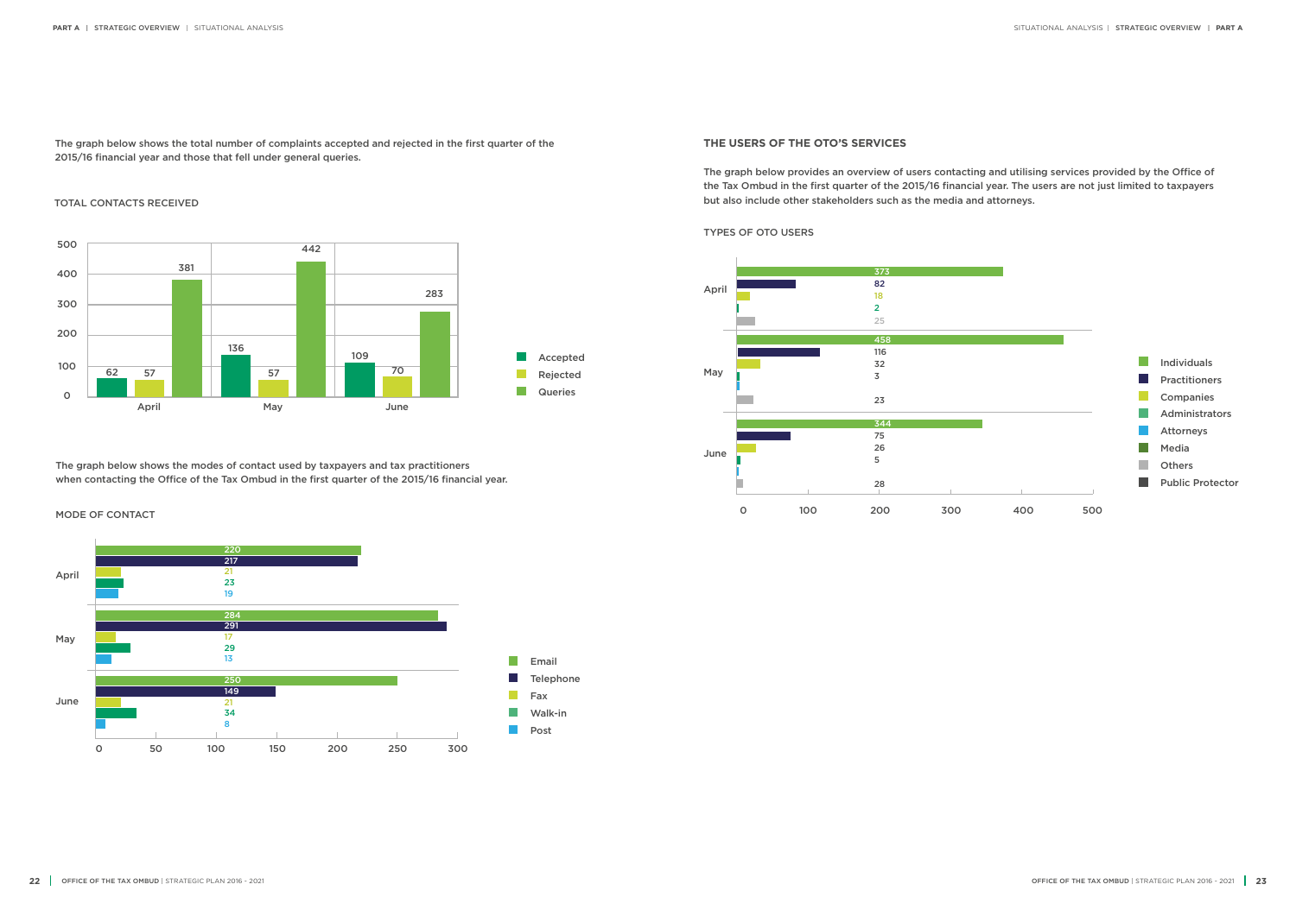The graph below shows the total number of complaints accepted and rejected in the first quarter of the 2015/16 financial year and those that fell under general queries.

### TOTAL CONTACTS RECEIVED



#### **THE USERS OF THE OTO'S SERVICES**

The graph below provides an overview of users contacting and utilising services provided by the Office of the Tax Ombud in the first quarter of the 2015/16 financial year. The users are not just limited to taxpayers but also include other stakeholders such as the media and attorneys.

TYPES OF OTO USERS

|     |     | <b>Individuals</b>      |
|-----|-----|-------------------------|
|     |     | <b>Practitioners</b>    |
|     |     | Companies               |
|     |     | Administrators          |
|     |     | <b>Attorneys</b>        |
|     |     | Media                   |
|     |     | <b>Others</b>           |
|     |     | <b>Public Protector</b> |
| 400 | 500 |                         |
|     |     |                         |



The graph below shows the modes of contact used by taxpayers and tax practitioners when contacting the Office of the Tax Ombud in the first quarter of the 2015/16 financial year.

MODE OF CONTACT

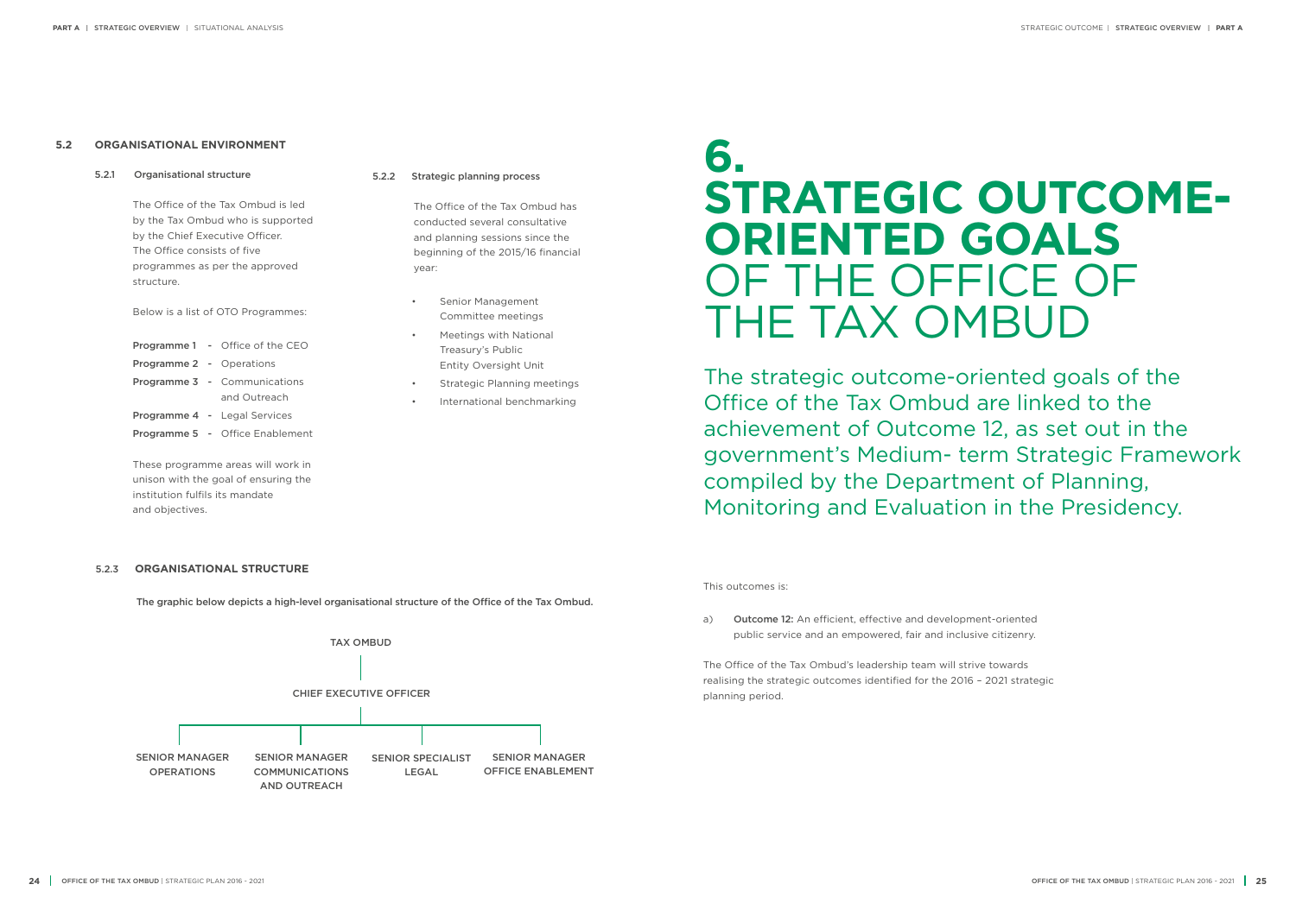#### **5.2 ORGANISATIONAL ENVIRONMENT**

5.2.1 Organisational structure

The Office of the Tax Ombud is led by the Tax Ombud who is supported by the Chief Executive Officer. The Office consists of five programmes as per the approved structure.

Below is a list of OTO Programmes:

- Programme 1 Office of the CEO
- Programme 2 Operations
- Programme 3 Communications and Outreach Programme 4 - Legal Services
- 
- Programme 5 Office Enablement

These programme areas will work in unison with the goal of ensuring the institution fulfils its mandate and objectives.

- Senior Management Committee meetings
- Meetings with National Treasury's Public Entity Oversight Unit
- Strategic Planning meetings
- International benchmarking

The graphic below depicts a high-level organisational structure of the Office of the Tax Ombud.



#### 5.2.2 Strategic planning process

The Office of the Tax Ombud has conducted several consultative and planning sessions since the beginning of the 2015/16 financial year:

#### 5.2.3 **ORGANISATIONAL STRUCTURE**

## **6. STRATEGIC OUTCOME-ORIENTED GOALS** OF THE OFFICE OF THE TAX OMBUD

The strategic outcome-oriented goals of the Office of the Tax Ombud are linked to the achievement of Outcome 12, as set out in the government's Medium- term Strategic Framework compiled by the Department of Planning, Monitoring and Evaluation in the Presidency.

This outcomes is:

a) Outcome 12: An efficient, effective and development-oriented public service and an empowered, fair and inclusive citizenry.

The Office of the Tax Ombud's leadership team will strive towards realising the strategic outcomes identified for the 2016 – 2021 strategic planning period.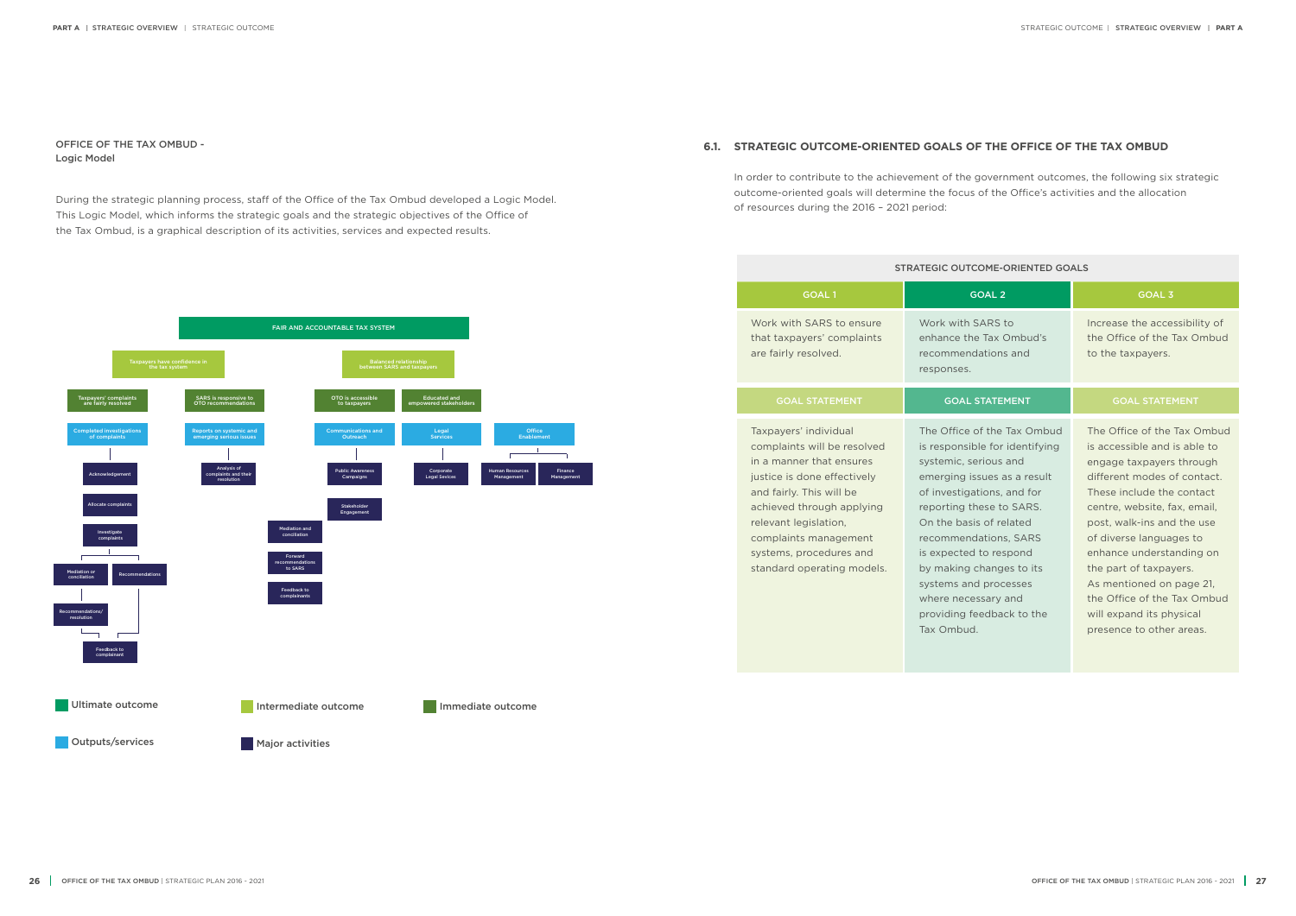OFFICE OF THE TAX OMBUD - Logic Model



During the strategic planning process, staff of the Office of the Tax Ombud developed a Logic Model. This Logic Model, which informs the strategic goals and the strategic objectives of the Office of the Tax Ombud, is a graphical description of its activities, services and expected results.

### **6.1. STRATEGIC OUTCOME-ORIENTED GOALS OF THE OFFICE OF THE TAX OMBUD**

#### -ORIENTED GOALS to Ombud's ns and Increase the accessibility of the Office of the Tax Ombud to the taxpayers. MENT **GOAL STATEMENT** Tax Ombud identifying and as a result and for to SARS. elated ns, SARS expond pes to its cesses and ack to the The Office of the Tax Ombud is accessible and is able to engage taxpayers through different modes of contact. These include the contact centre, website, fax, email, post, walk-ins and the use of diverse languages to enhance understanding on the part of taxpayers. As mentioned on page 21, the Office of the Tax Ombud will expand its physical presence to other areas.

In order to contribute to the achievement of the government outcomes, the following six strategic outcome-oriented goals will determine the focus of the Office's activities and the allocation of resources during the 2016 – 2021 period:

| <b>STRATEGIC OUTCOME-ORIENTED GOALS</b>                                                                                                                                                                                                                                             |                                                                                                                                                                                                                                                                                                                                                                                      |                                                                                                                                                                                                                                                                                                     |
|-------------------------------------------------------------------------------------------------------------------------------------------------------------------------------------------------------------------------------------------------------------------------------------|--------------------------------------------------------------------------------------------------------------------------------------------------------------------------------------------------------------------------------------------------------------------------------------------------------------------------------------------------------------------------------------|-----------------------------------------------------------------------------------------------------------------------------------------------------------------------------------------------------------------------------------------------------------------------------------------------------|
| <b>GOAL1</b>                                                                                                                                                                                                                                                                        | <b>GOAL 2</b>                                                                                                                                                                                                                                                                                                                                                                        | <b>GOAL 3</b>                                                                                                                                                                                                                                                                                       |
| Work with SARS to ensure<br>that taxpayers' complaints<br>are fairly resolved.                                                                                                                                                                                                      | Work with SARS to<br>enhance the Tax Ombud's<br>recommendations and<br>responses.                                                                                                                                                                                                                                                                                                    | Increase the acce<br>the Office of the<br>to the taxpayers.                                                                                                                                                                                                                                         |
| <b>GOAL STATEMENT</b>                                                                                                                                                                                                                                                               | <b>GOAL STATEMENT</b>                                                                                                                                                                                                                                                                                                                                                                | <b>GOAL STATE</b>                                                                                                                                                                                                                                                                                   |
| Taxpayers' individual<br>complaints will be resolved<br>in a manner that ensures<br>justice is done effectively<br>and fairly. This will be<br>achieved through applying<br>relevant legislation,<br>complaints management<br>systems, procedures and<br>standard operating models. | The Office of the Tax Ombud<br>is responsible for identifying<br>systemic, serious and<br>emerging issues as a result<br>of investigations, and for<br>reporting these to SARS.<br>On the basis of related<br>recommendations, SARS<br>is expected to respond<br>by making changes to its<br>systems and processes<br>where necessary and<br>providing feedback to the<br>Tax Ombud. | The Office of the<br>is accessible and<br>engage taxpayers<br>different modes o<br>These include the<br>centre, website, fa<br>post, walk-ins and<br>of diverse langua<br>enhance understa<br>the part of taxpay<br>As mentioned on<br>the Office of the<br>will expand its ph<br>presence to other |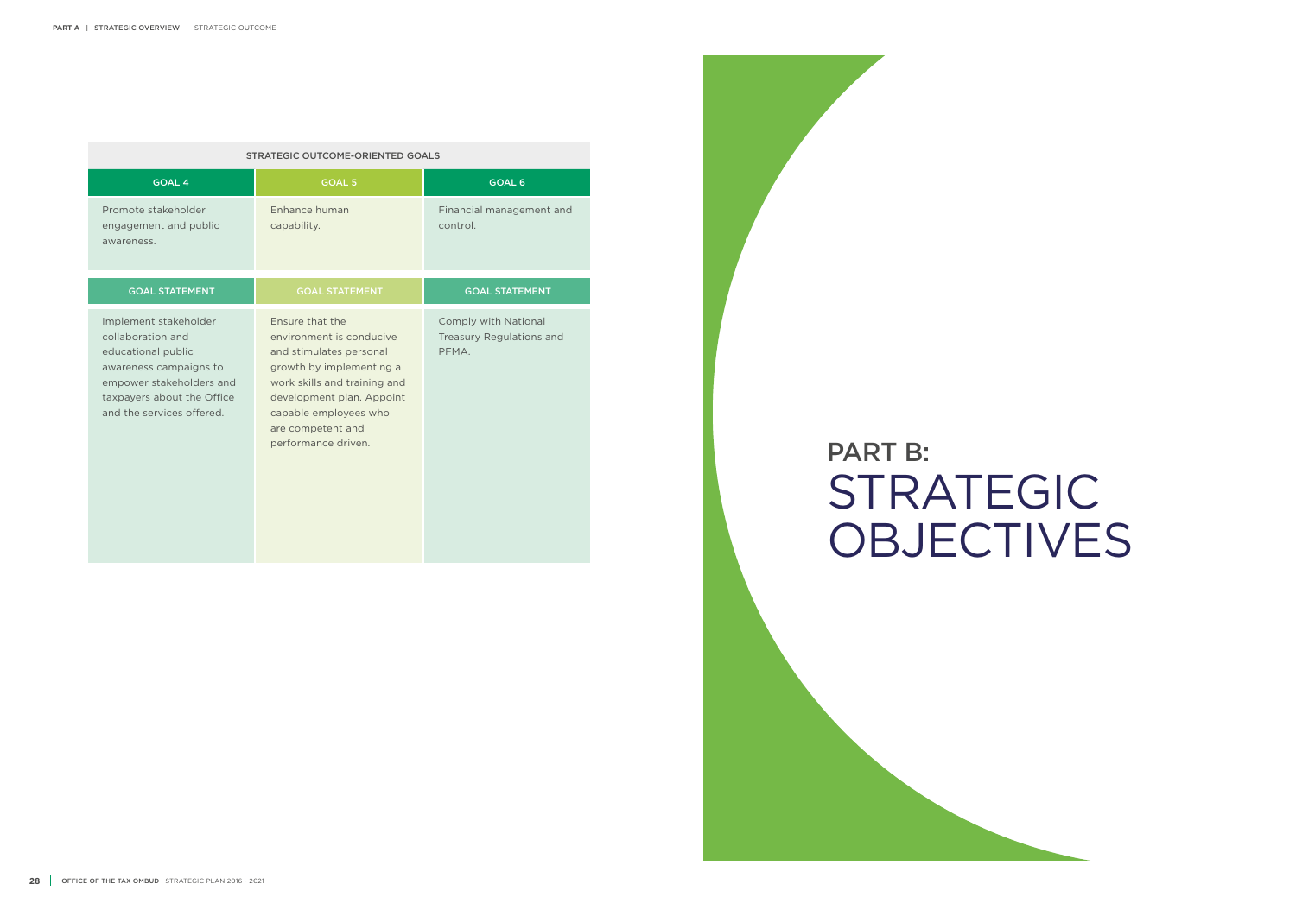| <b>STRATEGIC OUTCOME-ORIENTED GOALS</b>                                                                                                                                           |                                                                                                                                                                                                                                      |                                                           |  |
|-----------------------------------------------------------------------------------------------------------------------------------------------------------------------------------|--------------------------------------------------------------------------------------------------------------------------------------------------------------------------------------------------------------------------------------|-----------------------------------------------------------|--|
| <b>GOAL 4</b>                                                                                                                                                                     | <b>GOAL 5</b>                                                                                                                                                                                                                        | <b>GOAL 6</b>                                             |  |
| Promote stakeholder<br>engagement and public<br>awareness.                                                                                                                        | Enhance human<br>capability.                                                                                                                                                                                                         | Financial management and<br>control.                      |  |
| <b>GOAL STATEMENT</b>                                                                                                                                                             | <b>GOAL STATEMENT</b>                                                                                                                                                                                                                | <b>GOAL STATEMENT</b>                                     |  |
| Implement stakeholder<br>collaboration and<br>educational public<br>awareness campaigns to<br>empower stakeholders and<br>taxpayers about the Office<br>and the services offered. | Ensure that the<br>environment is conducive<br>and stimulates personal<br>growth by implementing a<br>work skills and training and<br>development plan. Appoint<br>capable employees who<br>are competent and<br>performance driven. | Comply with National<br>Treasury Regulations and<br>PFMA. |  |

## STRATEGIC **OBJECTIVES** PART B: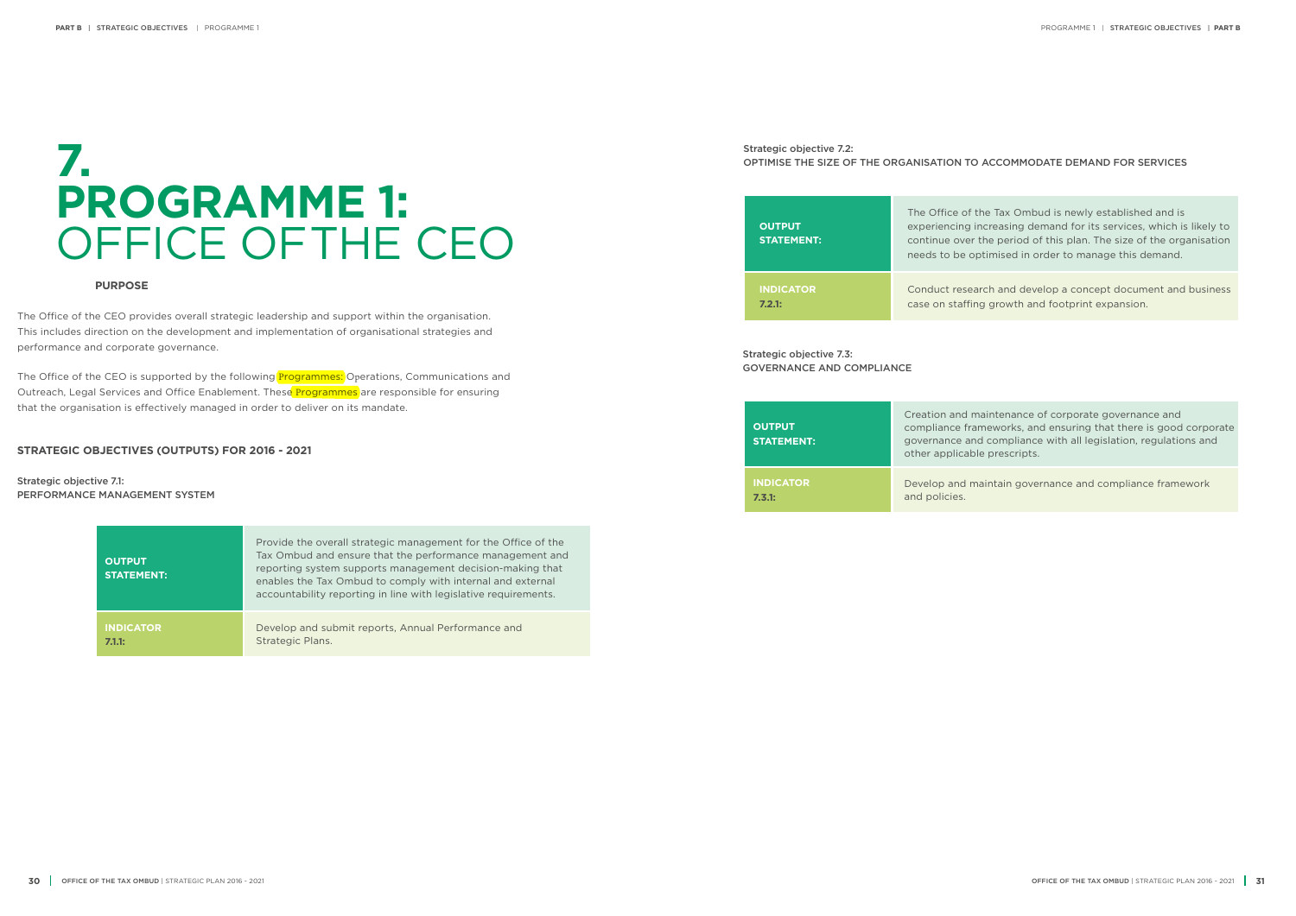the Tax Ombud is newly established and is ncreasing demand for its services, which is likely to the period of this plan. The size of the organisation ptimised in order to manage this demand.

arch and develop a concept document and business ng growth and footprint expansion.

aintenance of corporate governance and meworks, and ensuring that there is good corporate d compliance with all legislation, regulations and le prescripts.

aintain governance and compliance framework

| <b>OUTPUT</b><br><b>STATEMENT:</b> | Provide the overall strategic management for the Office of the<br>Tax Ombud and ensure that the performance management and<br>reporting system supports management decision-making that<br>enables the Tax Ombud to comply with internal and external<br>accountability reporting in line with legislative requirements. |
|------------------------------------|--------------------------------------------------------------------------------------------------------------------------------------------------------------------------------------------------------------------------------------------------------------------------------------------------------------------------|
| <b>INDICATOR</b>                   | Develop and submit reports, Annual Performance and                                                                                                                                                                                                                                                                       |
| 7.1.1:                             | Strategic Plans.                                                                                                                                                                                                                                                                                                         |

| <b>OUTPUT</b><br><b>STATEMENT:</b> | Creation and m<br>compliance fra<br>governance and<br>other applicabl |
|------------------------------------|-----------------------------------------------------------------------|
| <b>INDICATOR</b>                   | Develop and m                                                         |
| 7.3.1:                             | and policies.                                                         |

The Office of the CEO is supported by the following **Programmes:** Operations, Communications and Outreach, Legal Services and Office Enablement. These **Programmes** are responsible for ensuring that the organisation is effectively managed in order to deliver on its mandate.

| <b>OUTPUT</b><br><b>STATEMENT:</b> | The Office of t<br>experiencing i<br>continue over<br>needs to be or |
|------------------------------------|----------------------------------------------------------------------|
| <b>INDICATOR</b>                   | Conduct resea                                                        |
| 7.2.1:                             | case on staffin                                                      |

## **7. PROGRAMME 1:**  OFFICE OFTHE CEO

### Strategic objective 7.2: OPTIMISE THE SIZE OF THE ORGANISATION TO ACCOMMODATE DEMAND FOR SERVICES

#### **PURPOSE**

The Office of the CEO provides overall strategic leadership and support within the organisation. This includes direction on the development and implementation of organisational strategies and performance and corporate governance.

#### **STRATEGIC OBJECTIVES (OUTPUTS) FOR 2016 - 2021**

Strategic objective 7.1: PERFORMANCE MANAGEMENT SYSTEM Strategic objective 7.3: GOVERNANCE AND COMPLIANCE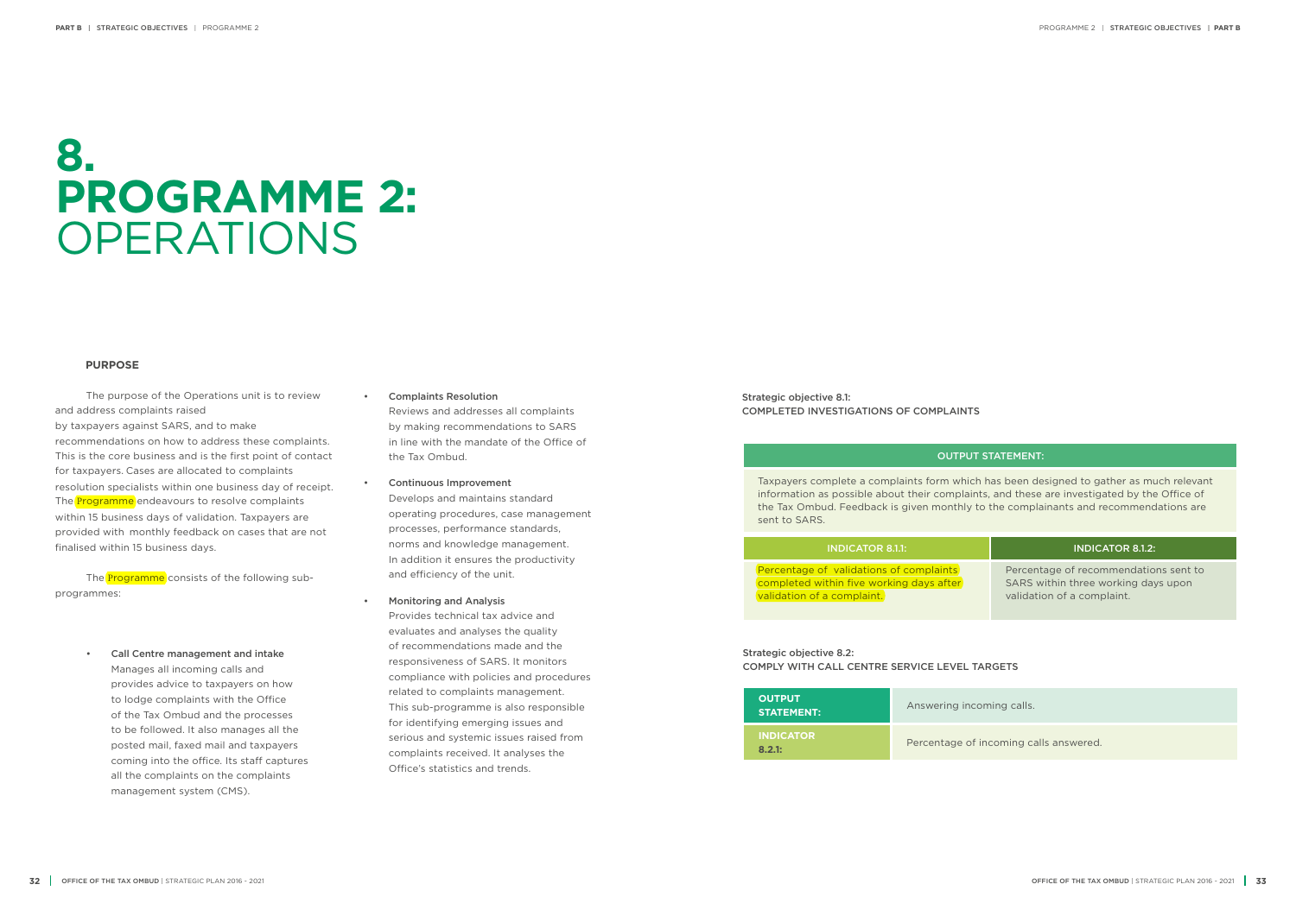Strategic objective 8.1: COMPLETED INVESTIGATIONS OF COMPLAINTS

#### OUTPUT STATEMENT:

### INDICATOR 8.1.1: INDICATOR 8.1.2:

Taxpayers complete a complaints form which has been designed to gather as much relevant information as possible about their complaints, and these are investigated by the Office of the Tax Ombud. Feedback is given monthly to the complainants and recommendations are sent to SARS.

Percentage of validations of complaints completed within five working days after validation of a complaint.

Percentage of recommendations sent to SARS within three working days upon validation of a complaint.

ming calls.

**ncoming calls answered.** 

Strategic objective 8.2: COMPLY WITH CALL CENTRE SERVICE LEVEL TARGETS

The **Programme** consists of the following subprogrammes:

| <b>OUTPUT</b><br><b>STATEMENT:</b> | Answering inco  |
|------------------------------------|-----------------|
| <b>INDICATOR</b><br>8.2.1:         | Percentage of i |

## **8. PROGRAMME 2:**  OPERATIONS

#### **PURPOSE**

The purpose of the Operations unit is to review and address complaints raised by taxpayers against SARS, and to make recommendations on how to address these complaints. This is the core business and is the first point of contact for taxpayers. Cases are allocated to complaints resolution specialists within one business day of receipt. The **Programme** endeavours to resolve complaints within 15 business days of validation. Taxpayers are provided with monthly feedback on cases that are not finalised within 15 business days.

> • Call Centre management and intake Manages all incoming calls and provides advice to taxpayers on how to lodge complaints with the Office of the Tax Ombud and the processes to be followed. It also manages all the posted mail, faxed mail and taxpayers coming into the office. Its staff captures all the complaints on the complaints management system (CMS).

- Complaints Resolution Reviews and addresses all complaints by making recommendations to SARS in line with the mandate of the Office of the Tax Ombud.
- Continuous Improvement Develops and maintains standard operating procedures, case management processes, performance standards, norms and knowledge management. In addition it ensures the productivity and efficiency of the unit.
- Monitoring and Analysis

Provides technical tax advice and evaluates and analyses the quality of recommendations made and the responsiveness of SARS. It monitors compliance with policies and procedures related to complaints management. This sub-programme is also responsible for identifying emerging issues and serious and systemic issues raised from complaints received. It analyses the Office's statistics and trends.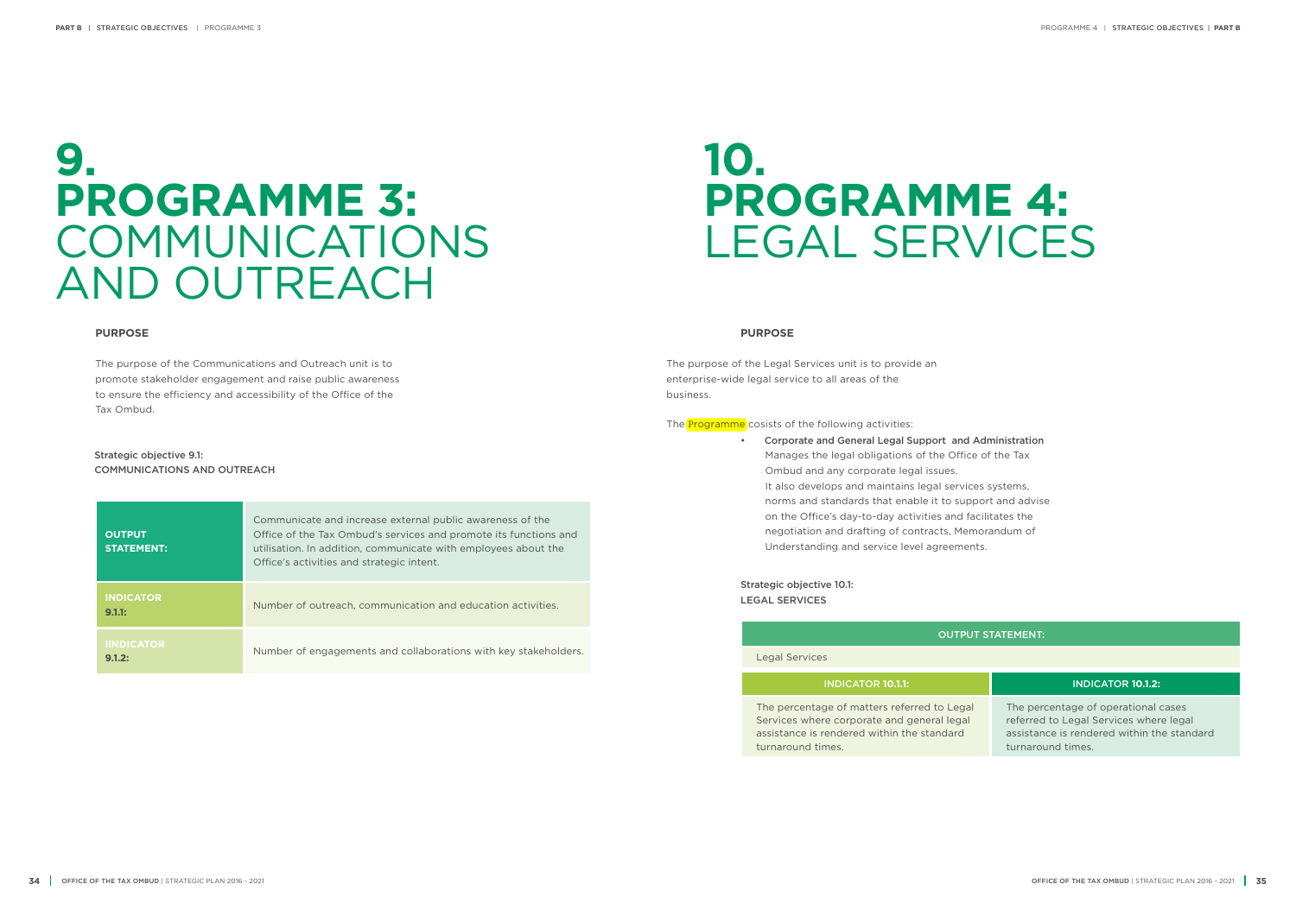## **10. PROGRAMME 4:** LEGAL SERVICES

#### **PURPOSE**

The purpose of the Legal Services unit is to provide an enterprise-wide legal service to all areas of the business.

The **Programme** cosists of the following activities:

• Corporate and General Legal Support and Administration Manages the legal obligations of the Office of the Tax Ombud and any corporate legal issues. It also develops and maintains legal services systems, norms and standards that enable it to support and advise on the Office's day-to-day activities and facilitates the negotiation and drafting of contracts, Memorandum of Understanding and service level agreements.

### OUTPUT STATEMENT:

Legal Services

### INDICATOR **10.1.1:** INDICATOR **10.1.2:**

The percentage of matters referred to Legal Services where corporate and general legal assistance is rendered within the standard turnaround times.

The percentage of operational cases referred to Legal Services where legal assistance is rendered within the standard turnaround times.

Strategic objective 10.1: LEGAL SERVICES

| <b>OUTPUT</b><br><b>STATEMENT:</b> | Communicate and increase external public awareness of the<br>Office of the Tax Ombud's services and promote its functions and<br>utilisation. In addition, communicate with employees about the<br>Office's activities and strategic intent. |
|------------------------------------|----------------------------------------------------------------------------------------------------------------------------------------------------------------------------------------------------------------------------------------------|
| <b>INDICATOR</b><br>9.1.1:         | Number of outreach, communication and education activities.                                                                                                                                                                                  |
| <b>IINDICATOR</b><br>9.1.2:        | Number of engagements and collaborations with key stakeholders.                                                                                                                                                                              |

### **9. PROGRAMME 3:** COMMUNICATIONS AND OUTREACH

#### **PURPOSE**

The purpose of the Communications and Outreach unit is to promote stakeholder engagement and raise public awareness to ensure the efficiency and accessibility of the Office of the Tax Ombud.

#### Strategic objective 9.1: COMMUNICATIONS AND OUTREACH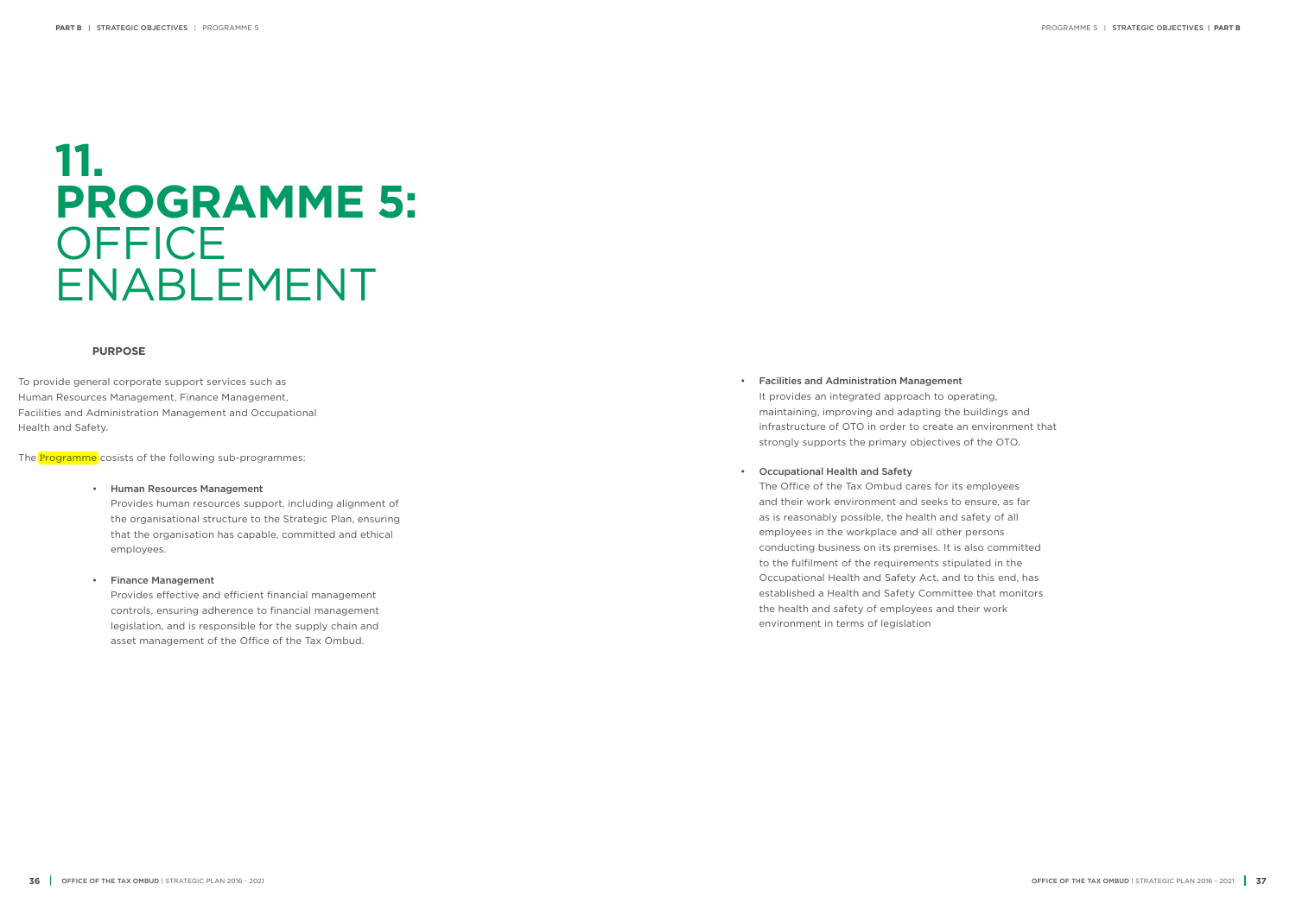### **11. PROGRAMME 5: OFFICE** ENABLEMENT

#### **PURPOSE**

To provide general corporate support services such as Human Resources Management, Finance Management, Facilities and Administration Management and Occupational Health and Safety.

The **Programme** cosists of the following sub-programmes:

#### • Human Resources Management

Provides human resources support, including alignment of the organisational structure to the Strategic Plan, ensuring that the organisation has capable, committed and ethical employees.

#### • Finance Management

Provides effective and efficient financial management controls, ensuring adherence to financial management legislation, and is responsible for the supply chain and asset management of the Office of the Tax Ombud.

• Facilities and Administration Management It provides an integrated approach to operating, maintaining, improving and adapting the buildings and infrastructure of OTO in order to create an environment that strongly supports the primary objectives of the OTO.

#### • Occupational Health and Safety

The Office of the Tax Ombud cares for its employees and their work environment and seeks to ensure, as far as is reasonably possible, the health and safety of all employees in the workplace and all other persons conducting business on its premises. It is also committed to the fulfilment of the requirements stipulated in the Occupational Health and Safety Act, and to this end, has established a Health and Safety Committee that monitors the health and safety of employees and their work environment in terms of legislation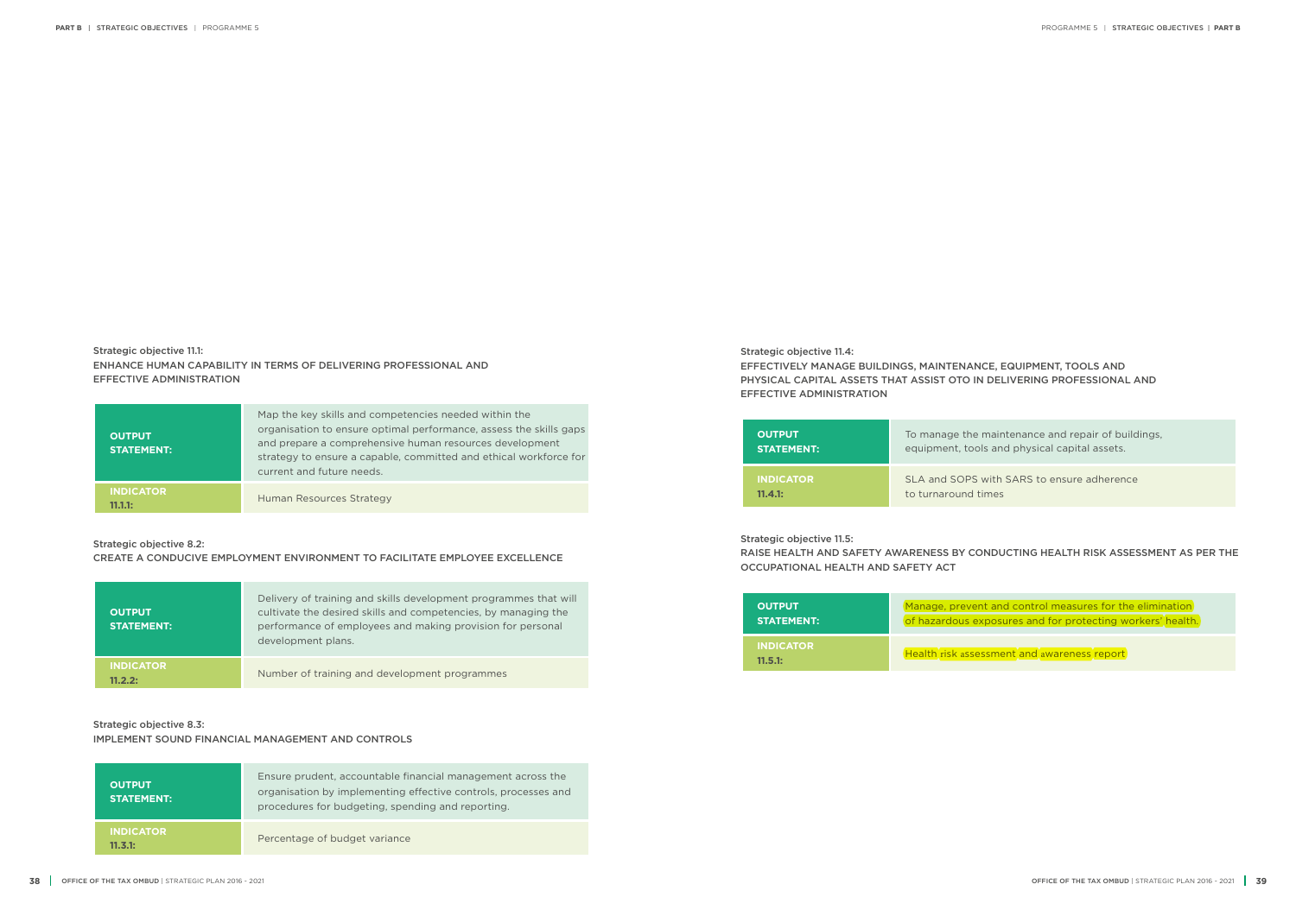Strategic objective 11.1: ENHANCE HUMAN CAPABILITY IN TERMS OF DELIVERING PROFESSIONAL AND EFFECTIVE ADMINISTRATION

Strategic objective 11.4:

EFFECTIVELY MANAGE BUILDINGS, MAINTENANCE, EQUIPMENT, TOOLS AND PHYSICAL CAPITAL ASSETS THAT ASSIST OTO IN DELIVERING PROFESSIONAL AND EFFECTIVE ADMINISTRATION

Strategic objective 11.5:

### RAISE HEALTH AND SAFETY AWARENESS BY CONDUCTING HEALTH RISK ASSESSMENT AS PER THE

OCCUPATIONAL HEALTH AND SAFETY ACT

**OUTPUT STATEMENT:** To manage the maintenance and repair of buildings, equipment, tools and physical capital assets.

**INDICATOR 11.4.1:**

SLA and SOPS with SARS to ensure adherence to turnaround times

**OUTPUT STATEMENT:** Manage, prevent and control measures for the elimination of hazardous exposures and for protecting workers' health.

**INDICATOR 11.5.1:**

Health risk assessment and awareness report

| <b>OUTPUT</b><br><b>STATEMENT:</b> | Map the key skills and competencies needed within the<br>organisation to ensure optimal performance, assess the skills gaps<br>and prepare a comprehensive human resources development<br>strategy to ensure a capable, committed and ethical workforce for<br>current and future needs. |
|------------------------------------|------------------------------------------------------------------------------------------------------------------------------------------------------------------------------------------------------------------------------------------------------------------------------------------|
| <b>INDICATOR</b><br>11.1.1:        | Human Resources Strategy                                                                                                                                                                                                                                                                 |

### Strategic objective 8.2:

CREATE A CONDUCIVE EMPLOYMENT ENVIRONMENT TO FACILITATE EMPLOYEE EXCELLENCE

| Strategic objective 8.3:                         |  |
|--------------------------------------------------|--|
| IMPLEMENT SOUND FINANCIAL MANAGEMENT AND CONTROL |  |

### IMPLEMENT SOUND FINANCIAL MANAGEMENT AND CONTROLS

| <b>OUTPUT</b><br><b>STATEMENT: '</b> | Delivery of training and skills development programmes that will<br>cultivate the desired skills and competencies, by managing the<br>performance of employees and making provision for personal<br>development plans. |
|--------------------------------------|------------------------------------------------------------------------------------------------------------------------------------------------------------------------------------------------------------------------|
| <b>INDICATOR</b><br>11 2 2・          | Number of training and development programmes                                                                                                                                                                          |

| <b>OUTPUT</b><br><b>STATEMENT:</b> | Ensure prudent, accountable financial management across the<br>organisation by implementing effective controls, processes and<br>procedures for budgeting, spending and reporting. |
|------------------------------------|------------------------------------------------------------------------------------------------------------------------------------------------------------------------------------|
| <b>INDICATOR</b><br>11.3.1:        | Percentage of budget variance                                                                                                                                                      |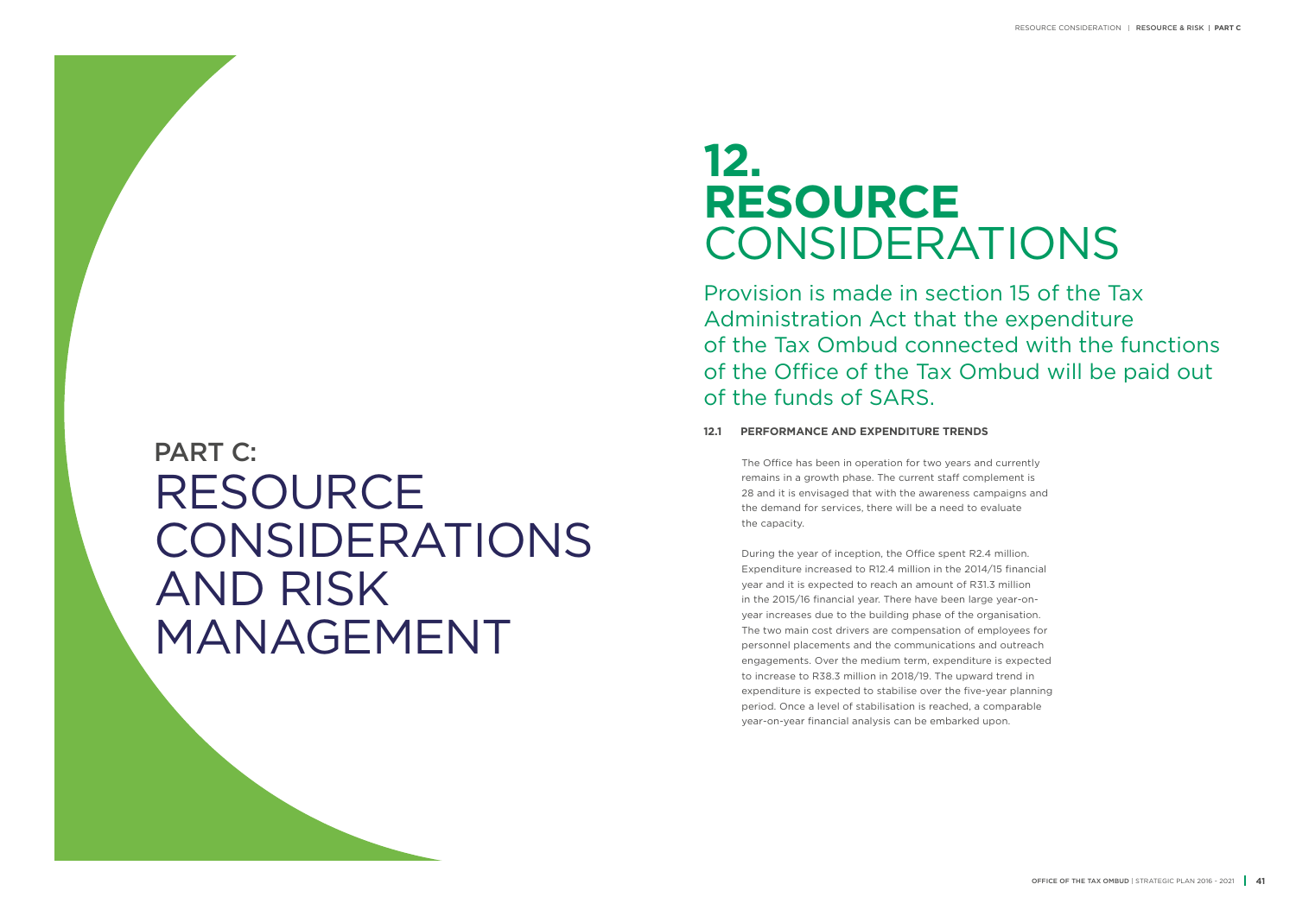## **12. RESOURCE** CONSIDERATIONS

Provision is made in section 15 of the Tax Administration Act that the expenditure of the Tax Ombud connected with the functions of the Office of the Tax Ombud will be paid out of the funds of SARS.

### **12.1 PERFORMANCE AND EXPENDITURE TRENDS**

The Office has been in operation for two years and currently remains in a growth phase. The current staff complement is 28 and it is envisaged that with the awareness campaigns and the demand for services, there will be a need to evaluate the capacity.

During the year of inception, the Office spent R2.4 million. Expenditure increased to R12.4 million in the 2014/15 financial year and it is expected to reach an amount of R31.3 million in the 2015/16 financial year. There have been large year-onyear increases due to the building phase of the organisation. The two main cost drivers are compensation of employees for personnel placements and the communications and outreach engagements. Over the medium term, expenditure is expected to increase to R38.3 million in 2018/19. The upward trend in expenditure is expected to stabilise over the five-year planning period. Once a level of stabilisation is reached, a comparable year-on-year financial analysis can be embarked upon.

## RESOURCE CONSIDERATIONS AND RISK MANAGEMENT PART C: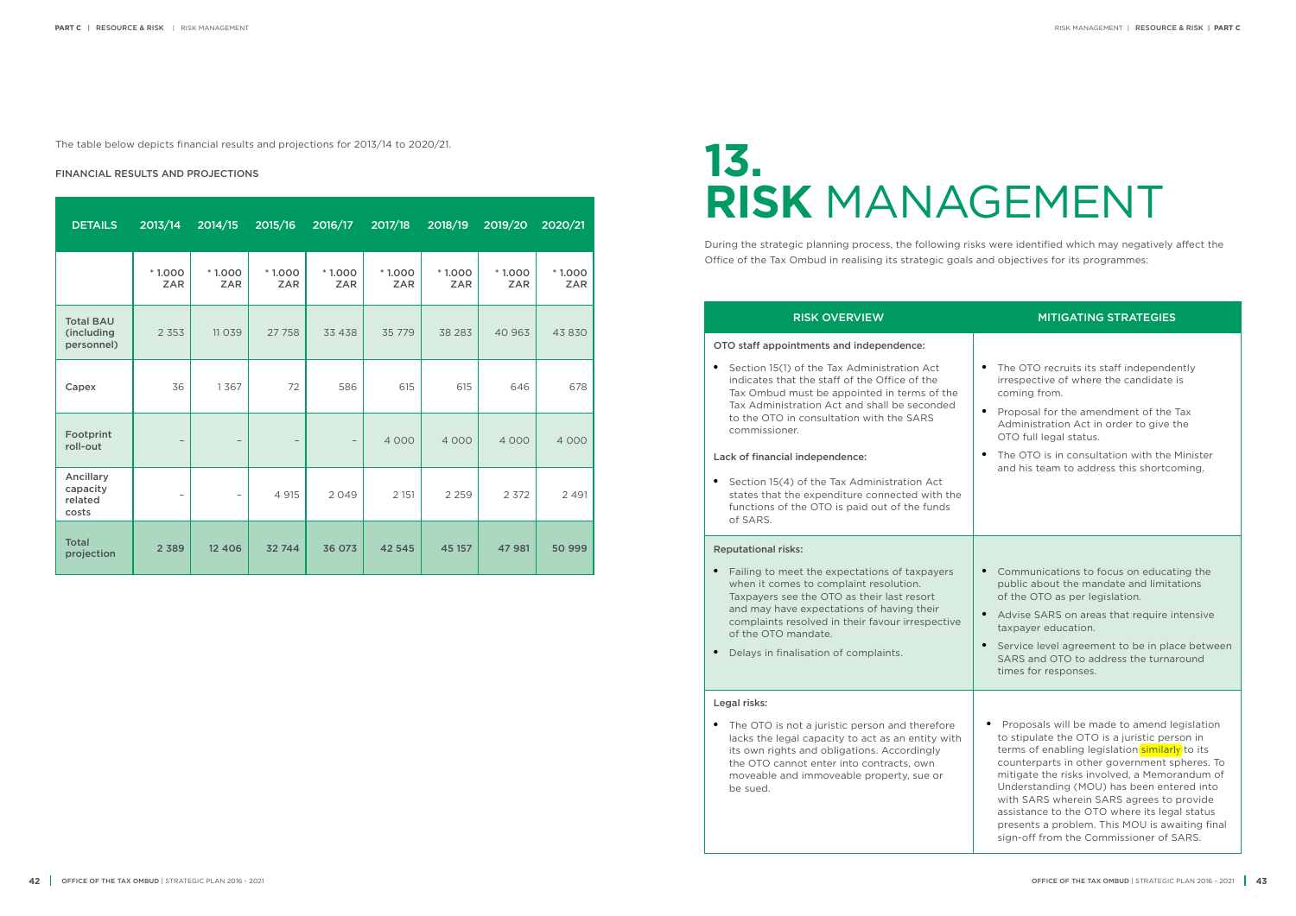### RISK OVERVIEW MITIGATING STRATEGIES

# **13. RISK** MANAGEMENT

During the strategic planning process, the following risks were identified which may negatively affect the Office of the Tax Ombud in realising its strategic goals and objectives for its programmes:

#### OTO staff appointments and independence:

• Section 15(1) of the Tax Administration Act indicates that the staff of the Office of the Tax Ombud must be appointed in terms of the Tax Administration Act and shall be seconded to the OTO in consultation with the SARS commissioner.

#### Lack of financial independence:

• Section 15(4) of the Tax Administration Act states that the expenditure connected with the functions of the OTO is paid out of the funds of SARS.

- The OTO recruits its staff independently irrespective of where the candidate is coming from.
- Proposal for the amendment of the Tax Administration Act in order to give the OTO full legal status.
- The OTO is in consultation with the Minister and his team to address this shortcoming.

#### Reputational risks:

- Failing to meet the expectations of taxpayers when it comes to complaint resolution. Taxpayers see the OTO as their last resort and may have expectations of having their complaints resolved in their favour irrespective of the OTO mandate.
- Delays in finalisation of complaints.

#### Legal risks:

• The OTO is not a juristic person and therefore lacks the legal capacity to act as an entity with its own rights and obligations. Accordingly the OTO cannot enter into contracts, own moveable and immoveable property, sue or be sued.

- Communications to focus on educating the public about the mandate and limitations of the OTO as per legislation.
- Advise SARS on areas that require intensive taxpayer education.
- Service level agreement to be in place between SARS and OTO to address the turnaround times for responses.
- Proposals will be made to amend legislation to stipulate the OTO is a juristic person in terms of enabling legislation similarly to its counterparts in other government spheres. To mitigate the risks involved, a Memorandum of Understanding (MOU) has been entered into with SARS wherein SARS agrees to provide assistance to the OTO where its legal status presents a problem. This MOU is awaiting final sign-off from the Commissioner of SARS.

#### FINANCIAL RESULTS AND PROJECTIONS

| <b>DETAILS</b>                               | 2013/14                  | 2014/15                  | 2015/16                  | 2016/17                  | 2017/18                | 2018/19                | 2019/20                | 2020/21                |
|----------------------------------------------|--------------------------|--------------------------|--------------------------|--------------------------|------------------------|------------------------|------------------------|------------------------|
|                                              | $*1.000$<br><b>ZAR</b>   | $*1.000$<br><b>ZAR</b>   | $*1.000$<br><b>ZAR</b>   | $*1.000$<br><b>ZAR</b>   | $*1.000$<br><b>ZAR</b> | $*1.000$<br><b>ZAR</b> | $*1.000$<br><b>ZAR</b> | $*1.000$<br><b>ZAR</b> |
| <b>Total BAU</b><br>(including<br>personnel) | 2 3 5 3                  | 11 0 3 9                 | 27 758                   | 33 4 38                  | 35 7 7 9               | 38 283                 | 40 963                 | 43 830                 |
| Capex                                        | 36                       | 1367                     | 72                       | 586                      | 615                    | 615                    | 646                    | 678                    |
| Footprint<br>roll-out                        | $\qquad \qquad -$        | $\overline{\phantom{m}}$ | $\overline{\phantom{a}}$ | $\overline{\phantom{a}}$ | 4 0 0 0                | 4 0 0 0                | 4 0 0 0                | 4 0 0 0                |
| Ancillary<br>capacity<br>related<br>costs    | $\overline{\phantom{0}}$ | -                        | 4 9 1 5                  | 2049                     | 2 1 5 1                | 2 2 5 9                | 2 3 7 2                | 2 4 9 1                |
| <b>Total</b><br>projection                   | 2 3 8 9                  | 12 4 0 6                 | 32 744                   | 36 073                   | 42 545                 | 45 157                 | 47 981                 | 50 999                 |

The table below depicts financial results and projections for 2013/14 to 2020/21.